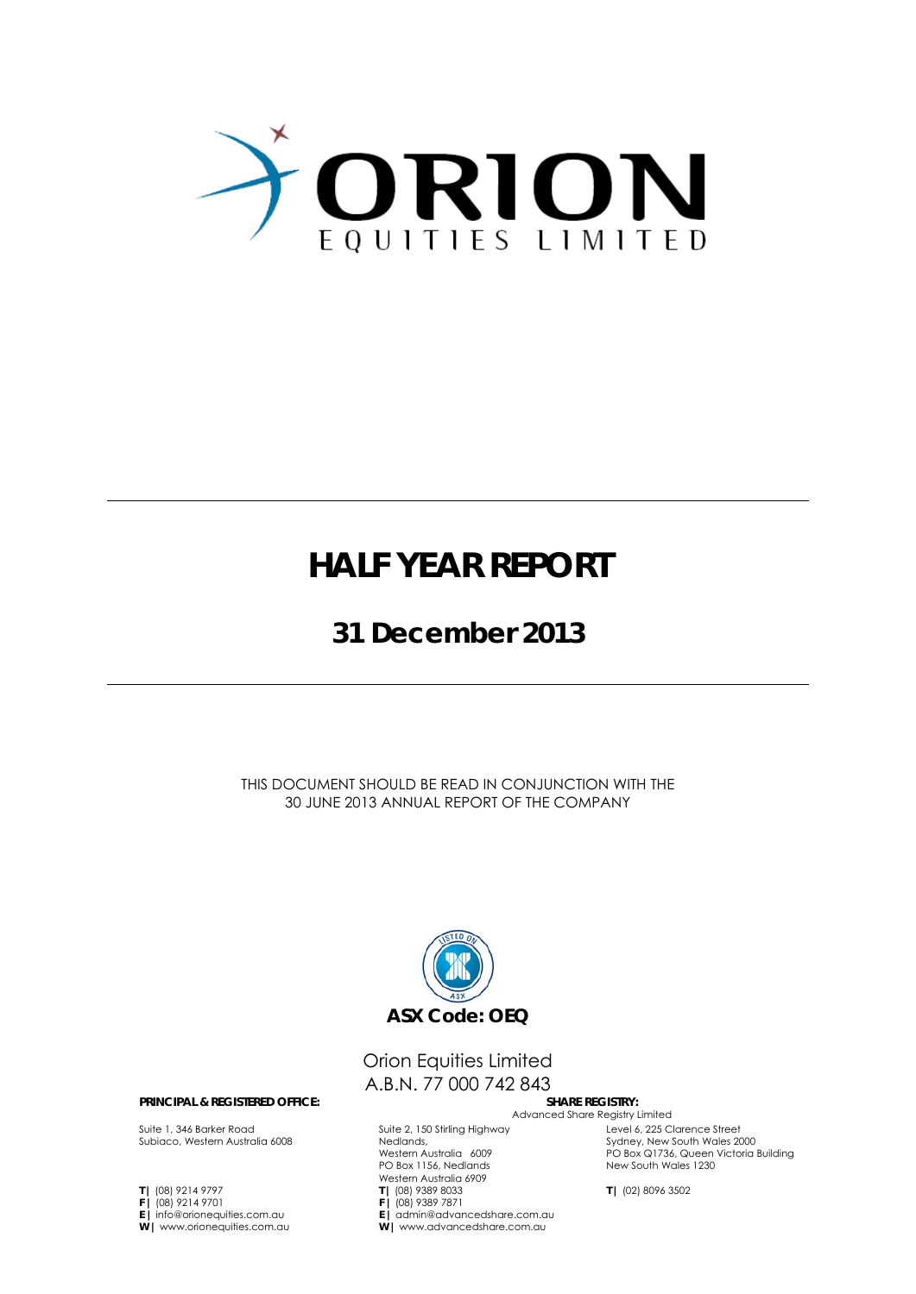

### **HALF YEAR REPORT**

### **31 December 2013**

THIS DOCUMENT SHOULD BE READ IN CONJUNCTION WITH THE 30 JUNE 2013 ANNUAL REPORT OF THE COMPANY



### Orion Equities Limited A.B.N. 77 000 742 843

### Advanced Share Registry Limited

Suite 2, 150 Stirling Highway Nedlands, Western Australia 6009 PO Box 1156, Nedlands Western Australia 6909 **T |** (08) 9389 8033 **F |** (08) 9389 7871 **E |** admin@advancedshare.com.au **W |** www.advancedshare.com.au

Level 6, 225 Clarence Street Sydney, New South Wales 2000 PO Box Q1736, Queen Victoria Building New South Wales 1230

**T |** (02) 8096 3502

### **PRINCIPAL & REGISTERED OFFICE:**

Suite 1, 346 Barker Road Subiaco, Western Australia 6008

**T |** (08) 9214 9797 **F |** (08) 9214 9701 **E |** info@orionequities.com.au **W |** www.orionequities.com.au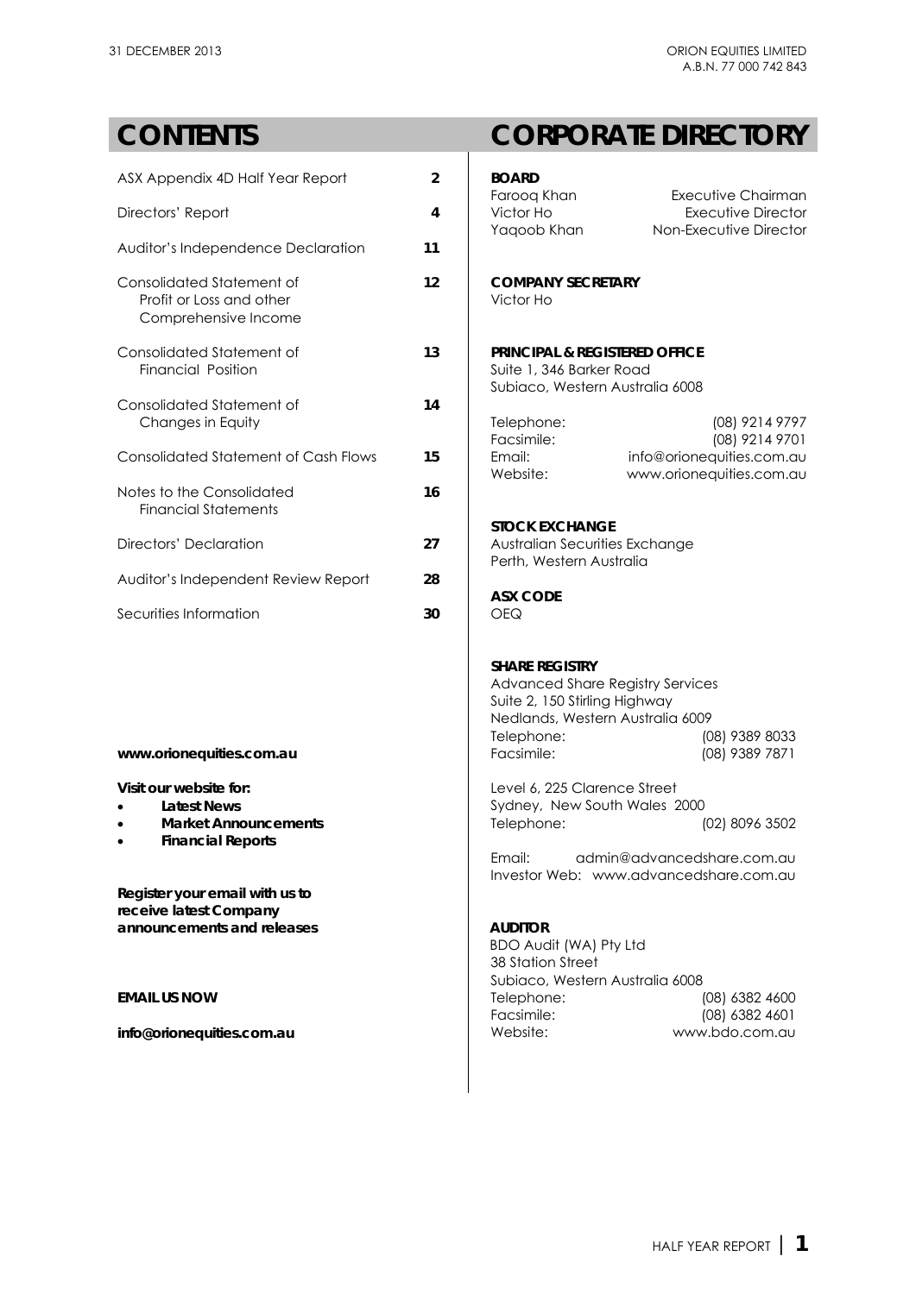### **CONTENTS CORPORATE DIRECTORY**

| ASX Appendix 4D Half Year Report                                              | $\overline{2}$ | <b>BOARD</b>                                                                                            |                                                       |
|-------------------------------------------------------------------------------|----------------|---------------------------------------------------------------------------------------------------------|-------------------------------------------------------|
|                                                                               |                | Faroog Khan                                                                                             | Executive Chairman                                    |
| Directors' Report                                                             | 4              | Victor Ho                                                                                               | Executive Director                                    |
| Auditor's Independence Declaration                                            | 11             | Yaqoob Khan                                                                                             | Non-Executive Director                                |
| Consolidated Statement of<br>Profit or Loss and other<br>Comprehensive Income | 12             | <b>COMPANY SECRETARY</b><br>Victor Ho                                                                   |                                                       |
| Consolidated Statement of<br>Financial Position                               | 13             | <b>PRINCIPAL &amp; REGISTERED OFFICE</b><br>Suite 1, 346 Barker Road<br>Subiaco, Western Australia 6008 |                                                       |
| Consolidated Statement of                                                     | 14             |                                                                                                         |                                                       |
| Changes in Equity                                                             |                | Telephone:<br>Facsimile:                                                                                | (08) 9214 9797<br>(08) 9214 9701                      |
| <b>Consolidated Statement of Cash Flows</b>                                   | 15             | Email:<br>Website:                                                                                      | info@orionequities.com.au<br>www.orionequities.com.au |
| Notes to the Consolidated<br><b>Financial Statements</b>                      | 16             |                                                                                                         |                                                       |
|                                                                               |                | <b>STOCK EXCHANGE</b>                                                                                   |                                                       |
| Directors' Declaration                                                        | 27             | Australian Securities Exchange<br>Perth, Western Australia                                              |                                                       |
| Auditor's Independent Review Report                                           | 28             |                                                                                                         |                                                       |
|                                                                               |                | <b>ASX CODE</b>                                                                                         |                                                       |
| Securities Information                                                        | 30             | <b>OEQ</b>                                                                                              |                                                       |
|                                                                               |                | <b>SHARE REGISTRY</b>                                                                                   |                                                       |

- 
- 
- **Financial Reports**

**Register your email with us to receive latest Company**  announcements and releases **AUDITOR** 

| Yagoob Khan                           | Non-Executive Director                                                      |
|---------------------------------------|-----------------------------------------------------------------------------|
| <b>COMPANY SECRETARY</b><br>Victor Ho |                                                                             |
| Suite 1, 346 Barker Road              | <b>PRINCIPAL &amp; REGISTERED OFFICE</b><br>Subiaco, Western Australia 6008 |
| Telephone:                            | (08) 9214 9797                                                              |
| Facsimile:                            | (08) 9214 9701                                                              |
| Fmail:                                | info@orionequities.com.au                                                   |
| Website:                              | www.orionequities.com.au                                                    |

#### **STOCK EXCHANGE**

### **ASX CODE**

 $\top$ 

### **SHARE REGISTRY**

 Advanced Share Registry Services Suite 2, 150 Stirling Highway Nedlands, Western Australia 6009 Telephone: (08) 9389 8033<br>
Facsimile: (08) 9389 7871 **www.orionequities.com.au 1988** 1871 Facsimile: (08) 9389 7871

**Visit our website for:**  $\qquad \qquad$  Level 6, 225 Clarence Street Latest News **Sydney, New South Wales 2000 Market Announcements Telephone:** (02) 8096 3502

> Email: admin@advancedshare.com.au Investor Web: www.advancedshare.com.au

 BDO Audit (WA) Pty Ltd 38 Station Street Subiaco, Western Australia 6008 **EMAIL US NOW 19 | EMAIL US NOW 19 | Telephone:** (08) 6382 4600 Facsimile: (08) 6382 4601 **info@orionequities.com.au <br>
Website:** Website: www.bdo.com.au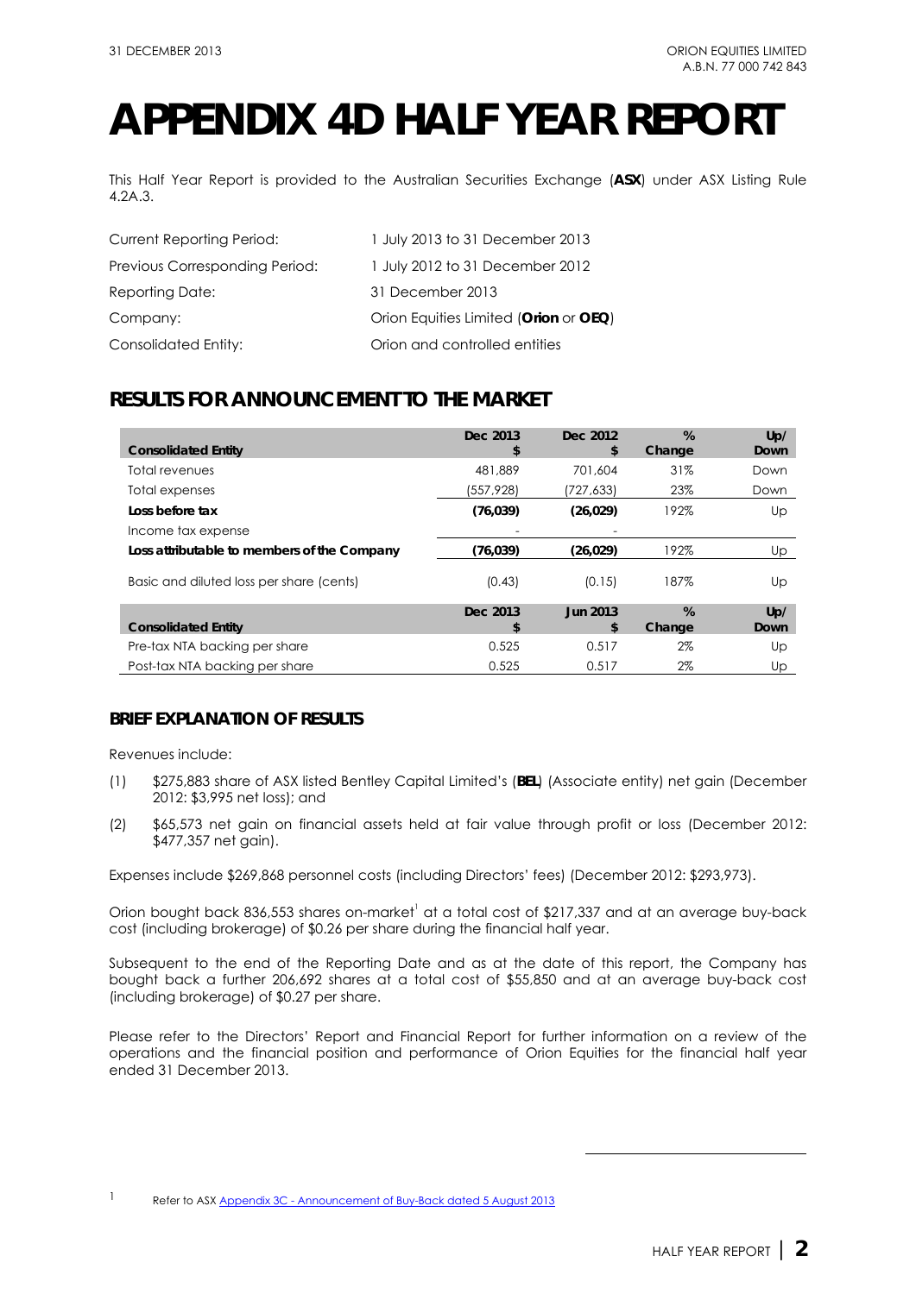## **APPENDIX 4D HALF YEAR REPORT**

This Half Year Report is provided to the Australian Securities Exchange (**ASX**) under ASX Listing Rule 4.2A.3.

| <b>Current Reporting Period:</b> | 1 July 2013 to 31 December 2013       |
|----------------------------------|---------------------------------------|
| Previous Corresponding Period:   | 1 July 2012 to 31 December 2012       |
| Reporting Date:                  | 31 December 2013                      |
| Company:                         | Orion Equities Limited (Orion or OEQ) |
| Consolidated Entity:             | Orion and controlled entities         |

### **RESULTS FOR ANNOUNCEMENT TO THE MARKET**

| <b>Consolidated Entity</b>                  | Dec 2013<br>\$ | Dec 2012<br>\$ | %<br>Change | Up/<br>Down |
|---------------------------------------------|----------------|----------------|-------------|-------------|
| Total revenues                              | 481,889        | 701.604        | 31%         | Down        |
| Total expenses                              | (557,928)      | (727,633)      | 23%         | Down        |
| Loss before tax                             | (76, 039)      | (26, 029)      | 192%        | Up          |
| Income tax expense                          |                |                |             |             |
| Loss attributable to members of the Company | (76, 039)      | (26, 029)      | 192%        | Up          |
| Basic and diluted loss per share (cents)    | (0.43)         | (0.15)         | 187%        | Up          |
|                                             | Dec 2013       | Jun 2013       | %           | Up/         |
| <b>Consolidated Entity</b>                  | \$             | \$             | Change      | Down        |
| Pre-tax NTA backing per share               | 0.525          | 0.517          | $2\%$       | Up          |
| Post-tax NTA backing per share              | 0.525          | 0.517          | $2\%$       | Up          |

### **BRIEF EXPLANATION OF RESULTS**

Revenues include:

- (1) \$275,883 share of ASX listed Bentley Capital Limited's (**BEL**) (Associate entity) net gain (December 2012: \$3,995 net loss); and
- (2) \$65,573 net gain on financial assets held at fair value through profit or loss (December 2012: \$477,357 net gain).

Expenses include \$269,868 personnel costs (including Directors' fees) (December 2012: \$293,973).

Orion bought back 836,553 shares on-market<sup>1</sup> at a total cost of \$217,337 and at an average buy-back cost (including brokerage) of \$0.26 per share during the financial half year.

Subsequent to the end of the Reporting Date and as at the date of this report, the Company has bought back a further 206,692 shares at a total cost of \$55,850 and at an average buy-back cost (including brokerage) of \$0.27 per share.

Please refer to the Directors' Report and Financial Report for further information on a review of the operations and the financial position and performance of Orion Equities for the financial half year ended 31 December 2013.

-

1 Refer to ASX Appendix 3C - Announcement of Buy-Back dated 5 August 2013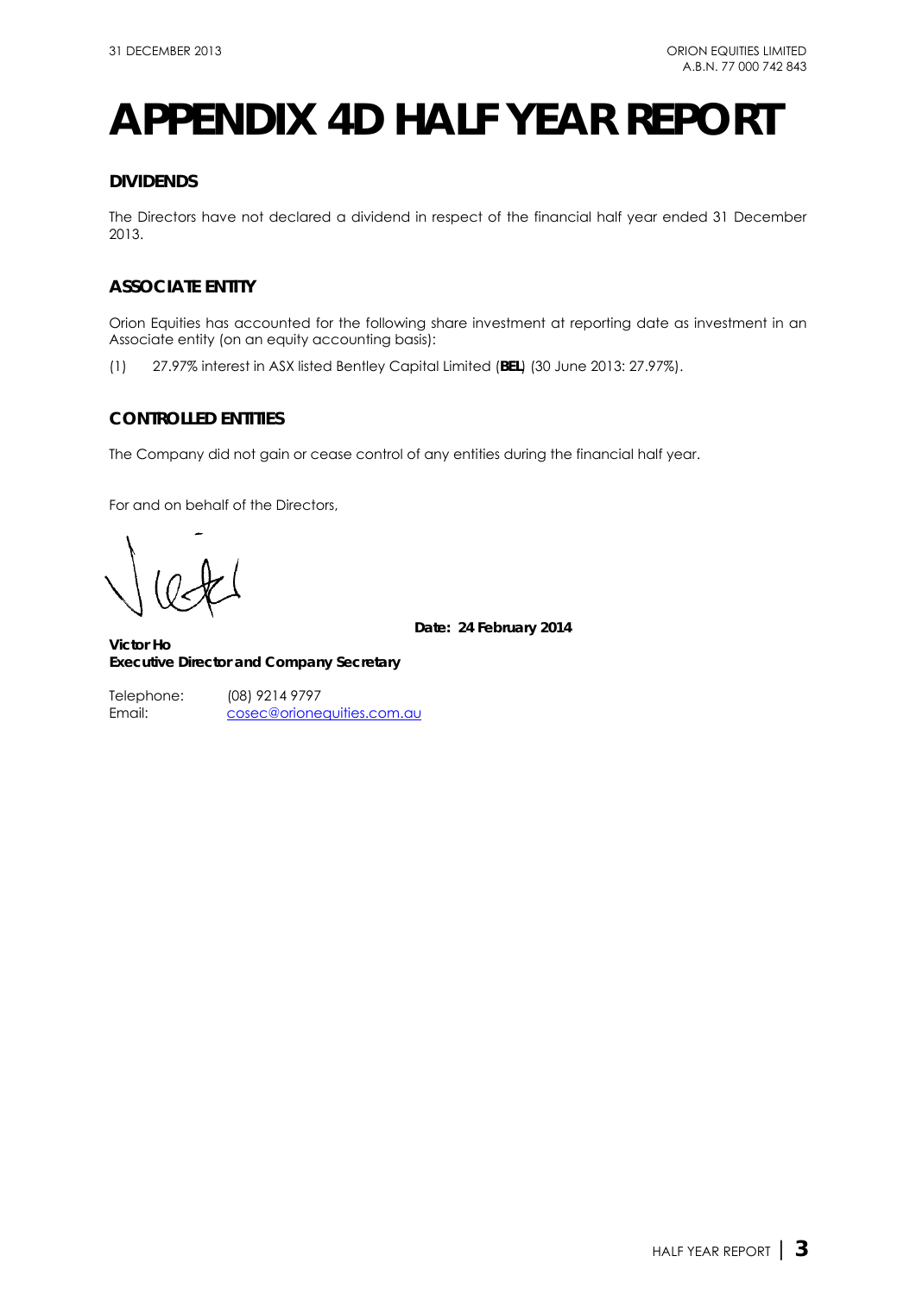## **APPENDIX 4D HALF YEAR REPORT**

### **DIVIDENDS**

The Directors have not declared a dividend in respect of the financial half year ended 31 December 2013.

### **ASSOCIATE ENTITY**

Orion Equities has accounted for the following share investment at reporting date as investment in an Associate entity (on an equity accounting basis):

(1) 27.97% interest in ASX listed Bentley Capital Limited (**BEL**) (30 June 2013: 27.97%).

### **CONTROLLED ENTITIES**

The Company did not gain or cease control of any entities during the financial half year.

For and on behalf of the Directors,

**Date: 24 February 2014** 

**Victor Ho Executive Director and Company Secretary** 

Telephone: (08) 9214 9797 Email: cosec@orionequities.com.au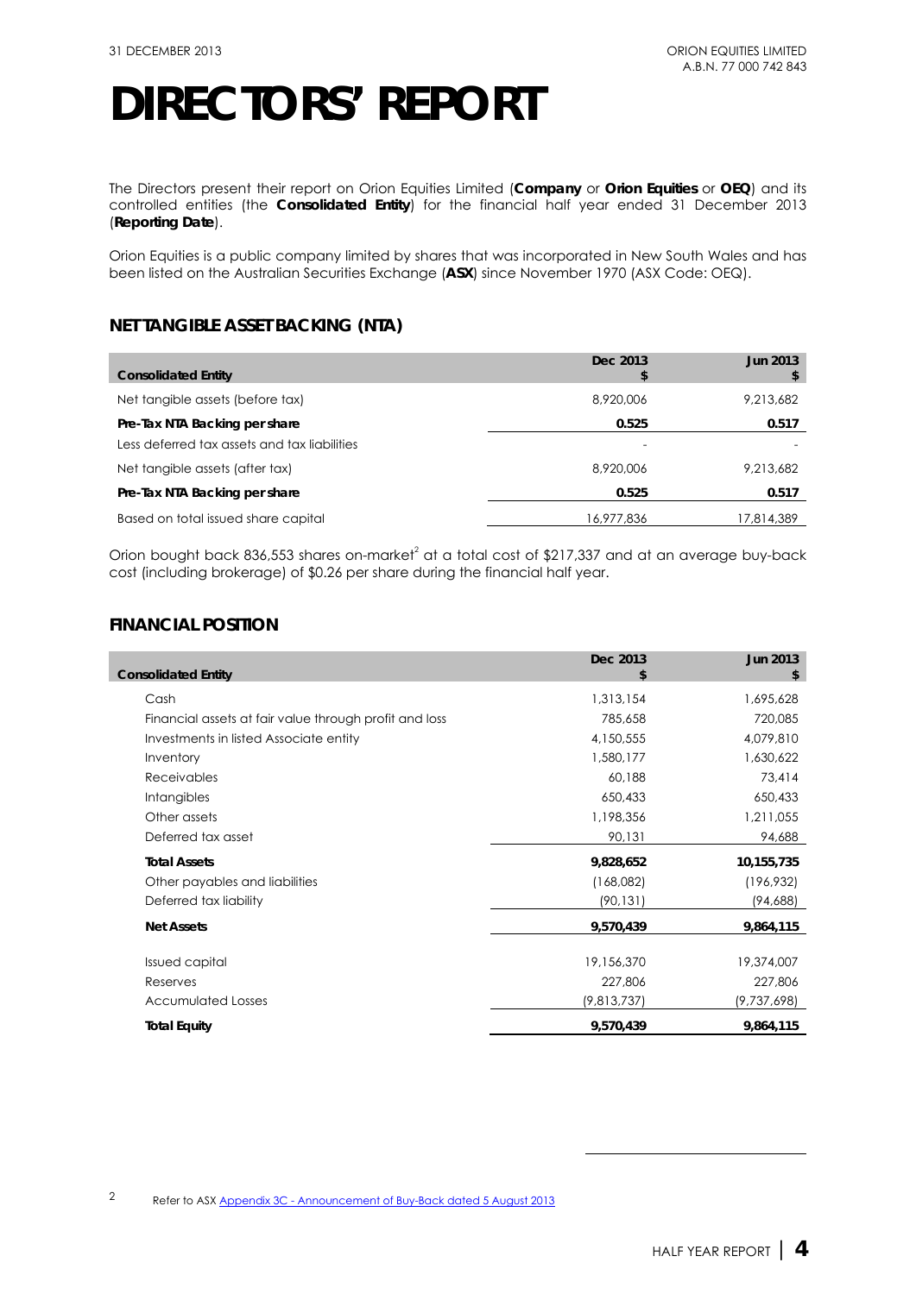The Directors present their report on Orion Equities Limited (**Company** or **Orion Equities** or **OEQ**) and its controlled entities (the **Consolidated Entity**) for the financial half year ended 31 December 2013 (**Reporting Date**).

Orion Equities is a public company limited by shares that was incorporated in New South Wales and has been listed on the Australian Securities Exchange (**ASX**) since November 1970 (ASX Code: OEQ).

### **NET TANGIBLE ASSET BACKING (NTA)**

| <b>Consolidated Entity</b>                   | Dec 2013   | <b>Jun 2013</b> |
|----------------------------------------------|------------|-----------------|
| Net tangible assets (before tax)             | 8,920,006  | 9,213,682       |
| Pre-Tax NTA Backing per share                | 0.525      | 0.517           |
| Less deferred tax assets and tax liabilities |            |                 |
| Net tangible assets (after tax)              | 8,920,006  | 9.213.682       |
| Pre-Tax NTA Backing per share                | 0.525      | 0.517           |
| Based on total issued share capital          | 16,977,836 | 17,814,389      |

Orion bought back 836,553 shares on-market<sup>2</sup> at a total cost of \$217,337 and at an average buy-back cost (including brokerage) of \$0.26 per share during the financial half year.

### **FINANCIAL POSITION**

| <b>Consolidated Entity</b>                             | Dec 2013    | Jun 2013<br>\$ |
|--------------------------------------------------------|-------------|----------------|
|                                                        |             |                |
| Cash                                                   | 1,313,154   | 1,695,628      |
| Financial assets at fair value through profit and loss | 785,658     | 720,085        |
| Investments in listed Associate entity                 | 4,150,555   | 4,079,810      |
| Inventory                                              | 1,580,177   | 1,630,622      |
| <b>Receivables</b>                                     | 60,188      | 73,414         |
| <b>Intangibles</b>                                     | 650,433     | 650,433        |
| Other assets                                           | 1,198,356   | 1,211,055      |
| Deferred tax asset                                     | 90,131      | 94,688         |
| <b>Total Assets</b>                                    | 9,828,652   | 10,155,735     |
| Other payables and liabilities                         | (168,082)   | (196, 932)     |
| Deferred tax liability                                 | (90, 131)   | (94,688)       |
| <b>Net Assets</b>                                      | 9,570,439   | 9,864,115      |
| <b>Issued capital</b>                                  | 19,156,370  | 19,374,007     |
| Reserves                                               | 227,806     | 227,806        |
| <b>Accumulated Losses</b>                              | (9,813,737) | (9, 737, 698)  |
| <b>Total Equity</b>                                    | 9,570,439   | 9,864,115      |

2 Refer to ASX Appendix 3C - Announcement of Buy-Back dated 5 August 2013

-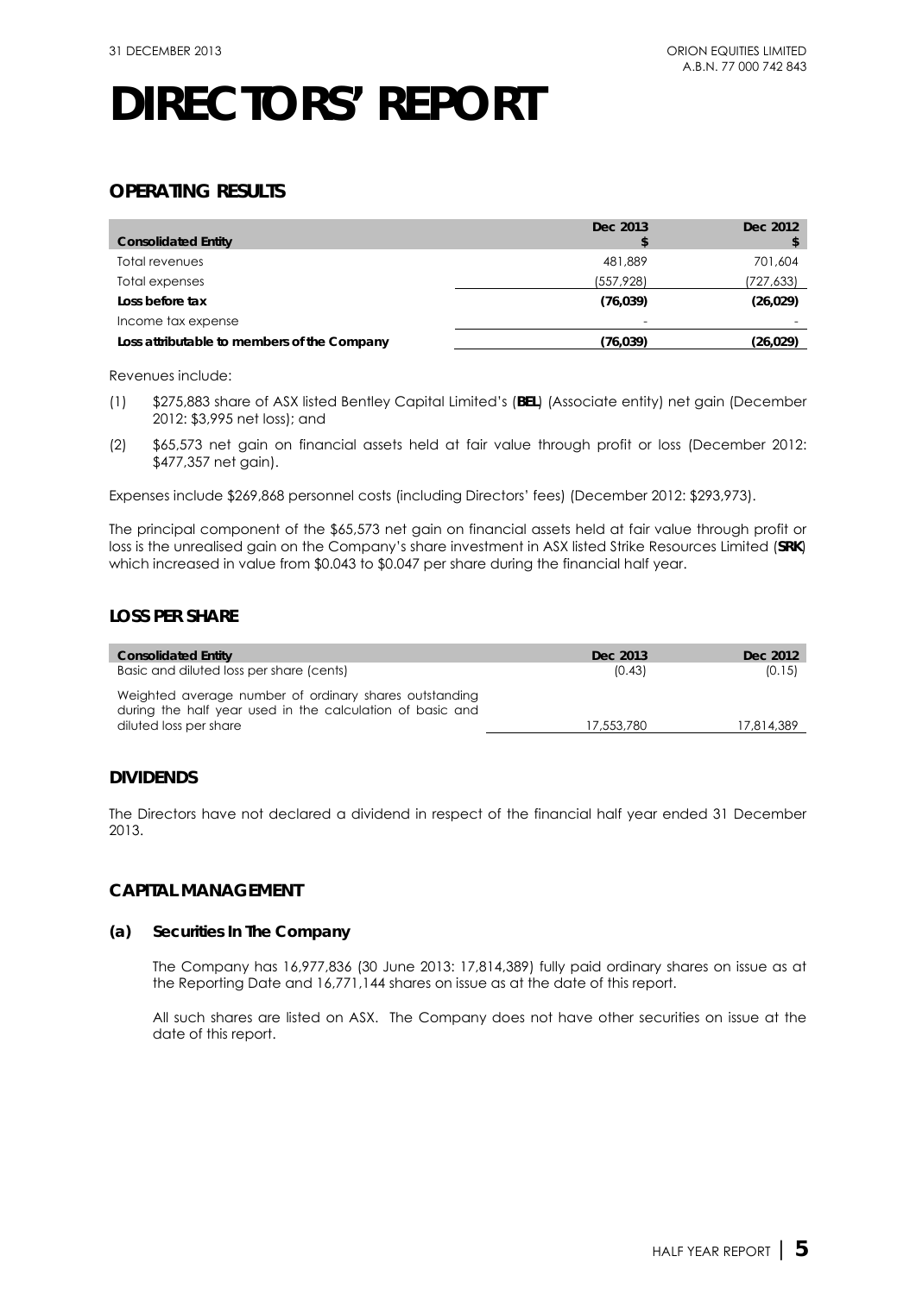### **OPERATING RESULTS**

|                                             | Dec 2013        | Dec 2012  |
|---------------------------------------------|-----------------|-----------|
| <b>Consolidated Entity</b>                  |                 |           |
| Total revenues                              | 481,889         | 701.604   |
| Total expenses                              | (557, 928)      | 727,633)  |
| Loss before tax                             | (76, 039)       | (26, 029) |
| Income tax expense                          | $\qquad \qquad$ |           |
| Loss attributable to members of the Company | (76,039)        | (26, 029) |

Revenues include:

- (1) \$275,883 share of ASX listed Bentley Capital Limited's (**BEL**) (Associate entity) net gain (December 2012: \$3,995 net loss); and
- (2) \$65,573 net gain on financial assets held at fair value through profit or loss (December 2012: \$477,357 net gain).

Expenses include \$269,868 personnel costs (including Directors' fees) (December 2012: \$293,973).

The principal component of the \$65,573 net gain on financial assets held at fair value through profit or loss is the unrealised gain on the Company's share investment in ASX listed Strike Resources Limited (**SRK**) which increased in value from \$0.043 to \$0.047 per share during the financial half year.

### **LOSS PER SHARE**

| <b>Consolidated Entity</b>                                                                                                                    | Dec 2013   | Dec 2012   |
|-----------------------------------------------------------------------------------------------------------------------------------------------|------------|------------|
| Basic and diluted loss per share (cents)                                                                                                      | (0.43)     | (0.15)     |
| Weighted average number of ordinary shares outstanding<br>during the half year used in the calculation of basic and<br>diluted loss per share | 17,553,780 | 17.814.389 |

### **DIVIDENDS**

The Directors have not declared a dividend in respect of the financial half year ended 31 December 2013.

### **CAPITAL MANAGEMENT**

### **(a) Securities In The Company**

The Company has 16,977,836 (30 June 2013: 17,814,389) fully paid ordinary shares on issue as at the Reporting Date and 16,771,144 shares on issue as at the date of this report.

All such shares are listed on ASX. The Company does not have other securities on issue at the date of this report.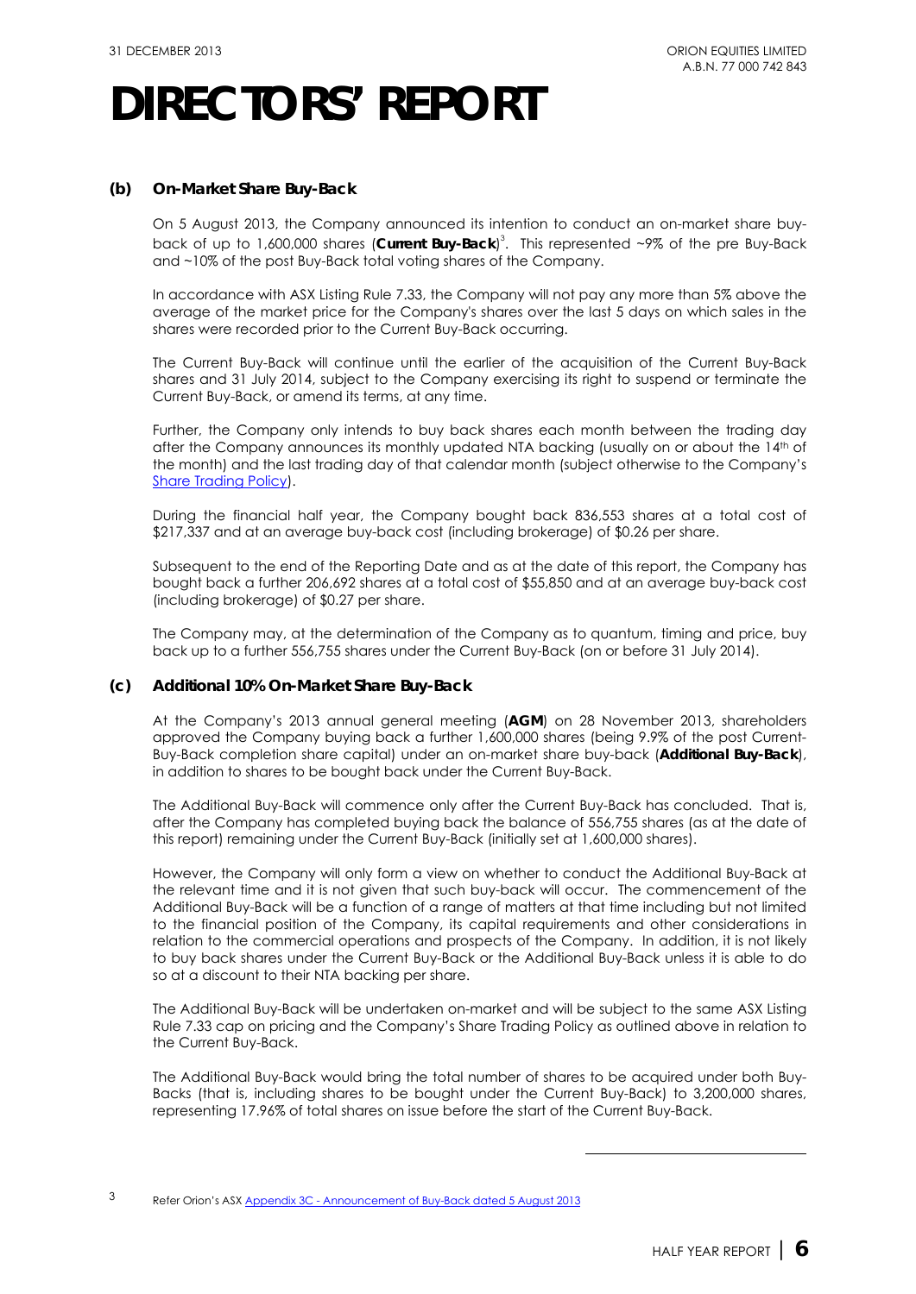### **(b) On-Market Share Buy-Back**

On 5 August 2013, the Company announced its intention to conduct an on-market share buyback of up to 1,600,000 shares (**Current Buy-Back**) 3 . This represented ~9% of the pre Buy-Back and ~10% of the post Buy-Back total voting shares of the Company.

In accordance with ASX Listing Rule 7.33, the Company will not pay any more than 5% above the average of the market price for the Company's shares over the last 5 days on which sales in the shares were recorded prior to the Current Buy-Back occurring.

The Current Buy-Back will continue until the earlier of the acquisition of the Current Buy-Back shares and 31 July 2014, subject to the Company exercising its right to suspend or terminate the Current Buy-Back, or amend its terms, at any time.

Further, the Company only intends to buy back shares each month between the trading day after the Company announces its monthly updated NTA backing (usually on or about the 14th of the month) and the last trading day of that calendar month (subject otherwise to the Company's Share Trading Policy).

During the financial half year, the Company bought back 836,553 shares at a total cost of \$217,337 and at an average buy-back cost (including brokerage) of \$0.26 per share.

Subsequent to the end of the Reporting Date and as at the date of this report, the Company has bought back a further 206,692 shares at a total cost of \$55,850 and at an average buy-back cost (including brokerage) of \$0.27 per share.

The Company may, at the determination of the Company as to quantum, timing and price, buy back up to a further 556,755 shares under the Current Buy-Back (on or before 31 July 2014).

### **(c) Additional 10% On-Market Share Buy-Back**

At the Company's 2013 annual general meeting (**AGM**) on 28 November 2013, shareholders approved the Company buying back a further 1,600,000 shares (being 9.9% of the post Current-Buy-Back completion share capital) under an on-market share buy-back (**Additional Buy-Back**), in addition to shares to be bought back under the Current Buy-Back.

The Additional Buy-Back will commence only after the Current Buy-Back has concluded. That is, after the Company has completed buying back the balance of 556,755 shares (as at the date of this report) remaining under the Current Buy-Back (initially set at 1,600,000 shares).

However, the Company will only form a view on whether to conduct the Additional Buy-Back at the relevant time and it is not given that such buy-back will occur. The commencement of the Additional Buy-Back will be a function of a range of matters at that time including but not limited to the financial position of the Company, its capital requirements and other considerations in relation to the commercial operations and prospects of the Company. In addition, it is not likely to buy back shares under the Current Buy-Back or the Additional Buy-Back unless it is able to do so at a discount to their NTA backing per share.

The Additional Buy-Back will be undertaken on-market and will be subject to the same ASX Listing Rule 7.33 cap on pricing and the Company's Share Trading Policy as outlined above in relation to the Current Buy-Back.

The Additional Buy-Back would bring the total number of shares to be acquired under both Buy-Backs (that is, including shares to be bought under the Current Buy-Back) to 3,200,000 shares, representing 17.96% of total shares on issue before the start of the Current Buy-Back.

-

3 Refer Orion's ASX Appendix 3C - Announcement of Buy-Back dated 5 August 2013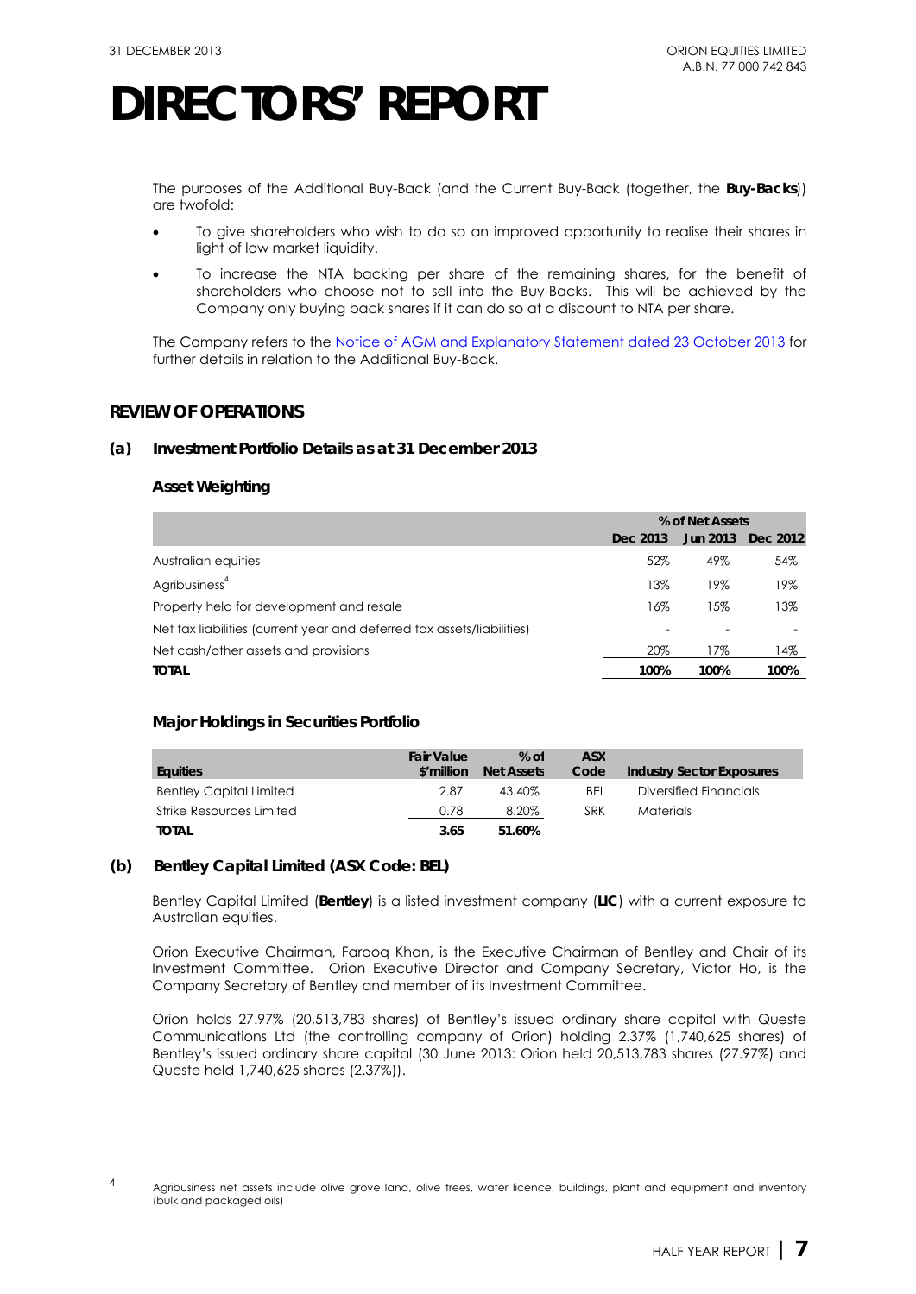The purposes of the Additional Buy-Back (and the Current Buy-Back (together, the **Buy-Backs**)) are twofold:

- To give shareholders who wish to do so an improved opportunity to realise their shares in light of low market liquidity.
- To increase the NTA backing per share of the remaining shares, for the benefit of shareholders who choose not to sell into the Buy-Backs. This will be achieved by the Company only buying back shares if it can do so at a discount to NTA per share.

The Company refers to the Notice of AGM and Explanatory Statement dated 23 October 2013 for further details in relation to the Additional Buy-Back.

### **REVIEW OF OPERATIONS**

### **(a) Investment Portfolio Details as at 31 December 2013**

### **Asset Weighting**

|                                                                        | % of Net Assets |                 |          |
|------------------------------------------------------------------------|-----------------|-----------------|----------|
|                                                                        | Dec 2013        | <b>Jun 2013</b> | Dec 2012 |
| Australian equities                                                    | 52%             | 49%             | 54%      |
| Agribusiness <sup>4</sup>                                              | 13%             | 19%             | 19%      |
| Property held for development and resale                               | 16%             | 15%             | 13%      |
| Net tax liabilities (current year and deferred tax assets/liabilities) |                 |                 |          |
| Net cash/other assets and provisions                                   | 20%             | 17%             | 14%      |
| <b>TOTAL</b>                                                           | 100%            | 100%            | 100%     |

### **Major Holdings in Securities Portfolio**

| Equities                       | <b>Fair Value</b><br>\$'million | $%$ of<br><b>Net Assets</b> | <b>ASX</b><br>Code | <b>Industry Sector Exposures</b> |
|--------------------------------|---------------------------------|-----------------------------|--------------------|----------------------------------|
| <b>Bentley Capital Limited</b> | 2.87                            | 43.40%                      | BEL                | Diversified Financials           |
| Strike Resources Limited       | 0.78                            | 8.20%                       | <b>SRK</b>         | <b>Materials</b>                 |
| <b>TOTAL</b>                   | 3.65                            | 51.60%                      |                    |                                  |

### **(b) Bentley Capital Limited (ASX Code: BEL)**

Bentley Capital Limited (**Bentley**) is a listed investment company (**LIC**) with a current exposure to Australian equities.

Orion Executive Chairman, Farooq Khan, is the Executive Chairman of Bentley and Chair of its Investment Committee. Orion Executive Director and Company Secretary, Victor Ho, is the Company Secretary of Bentley and member of its Investment Committee.

Orion holds 27.97% (20,513,783 shares) of Bentley's issued ordinary share capital with Queste Communications Ltd (the controlling company of Orion) holding 2.37% (1,740,625 shares) of Bentley's issued ordinary share capital (30 June 2013: Orion held 20,513,783 shares (27.97%) and Queste held 1,740,625 shares (2.37%)).

-

<sup>4</sup> Agribusiness net assets include olive grove land, olive trees, water licence, buildings, plant and equipment and inventory (bulk and packaged oils)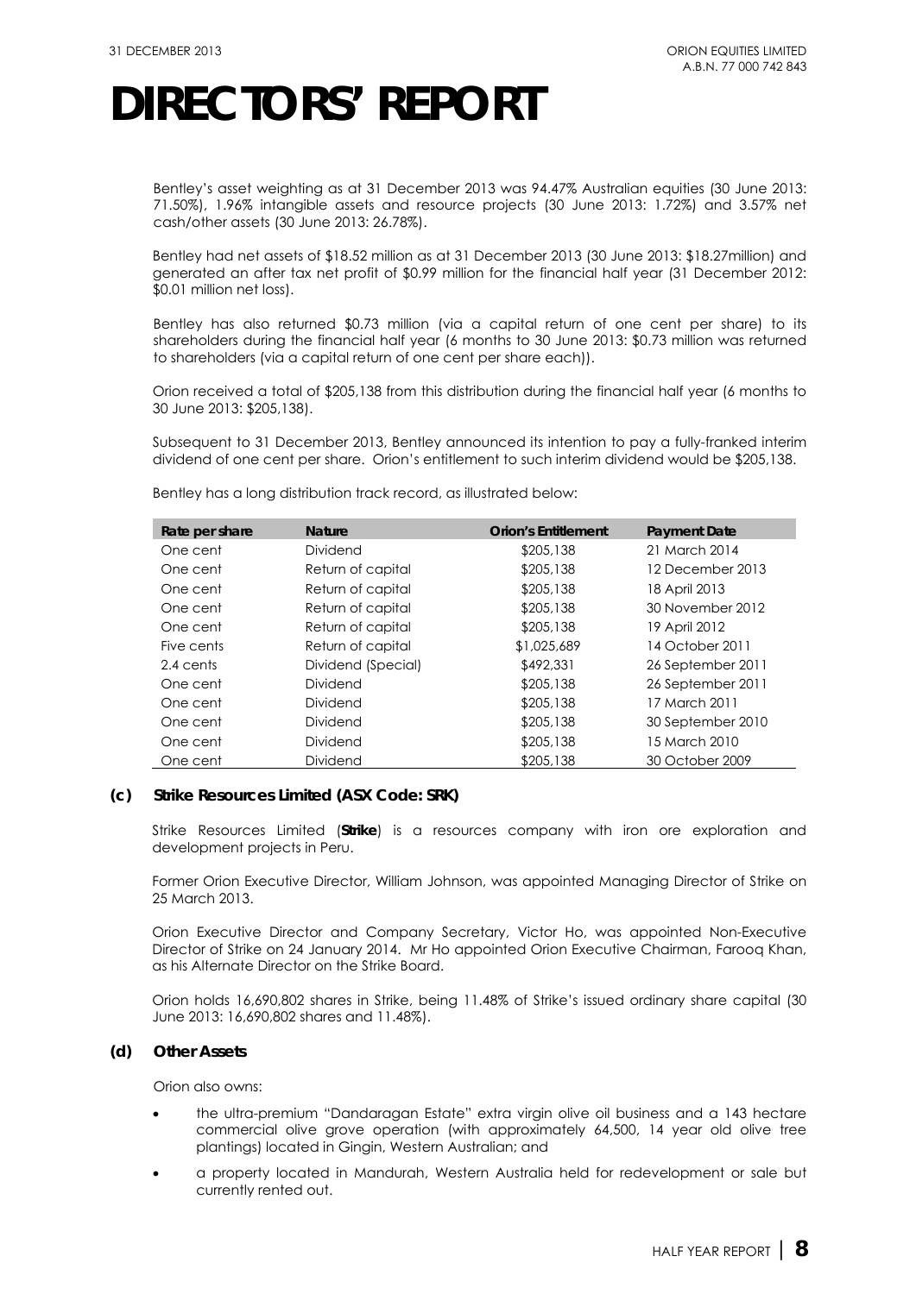Bentley's asset weighting as at 31 December 2013 was 94.47% Australian equities (30 June 2013: 71.50%), 1.96% intangible assets and resource projects (30 June 2013: 1.72%) and 3.57% net cash/other assets (30 June 2013: 26.78%).

Bentley had net assets of \$18.52 million as at 31 December 2013 (30 June 2013: \$18.27million) and generated an after tax net profit of \$0.99 million for the financial half year (31 December 2012: \$0.01 million net loss).

Bentley has also returned \$0.73 million (via a capital return of one cent per share) to its shareholders during the financial half year (6 months to 30 June 2013: \$0.73 million was returned to shareholders (via a capital return of one cent per share each)).

Orion received a total of \$205,138 from this distribution during the financial half year (6 months to 30 June 2013: \$205,138).

Subsequent to 31 December 2013, Bentley announced its intention to pay a fully-franked interim dividend of one cent per share. Orion's entitlement to such interim dividend would be \$205,138.

| Rate per share | <b>Nature</b>      | <b>Orion's Entitlement</b> | <b>Payment Date</b> |
|----------------|--------------------|----------------------------|---------------------|
| One cent       | Dividend           | \$205,138                  | 21 March 2014       |
| One cent       | Return of capital  | \$205,138                  | 12 December 2013    |
| One cent       | Return of capital  | \$205,138                  | 18 April 2013       |
| One cent       | Return of capital  | \$205,138                  | 30 November 2012    |
| One cent       | Return of capital  | \$205,138                  | 19 April 2012       |
| Five cents     | Return of capital  | \$1,025,689                | 14 October 2011     |
| 2.4 cents      | Dividend (Special) | \$492,331                  | 26 September 2011   |
| One cent       | Dividend           | \$205,138                  | 26 September 2011   |
| One cent       | Dividend           | \$205,138                  | 17 March 2011       |
| One cent       | Dividend           | \$205,138                  | 30 September 2010   |
| One cent       | Dividend           | \$205,138                  | 15 March 2010       |
| One cent       | Dividend           | \$205,138                  | 30 October 2009     |

Bentley has a long distribution track record, as illustrated below:

### **(c) Strike Resources Limited (ASX Code: SRK)**

Strike Resources Limited (**Strike**) is a resources company with iron ore exploration and development projects in Peru.

Former Orion Executive Director, William Johnson, was appointed Managing Director of Strike on 25 March 2013.

Orion Executive Director and Company Secretary, Victor Ho, was appointed Non-Executive Director of Strike on 24 January 2014. Mr Ho appointed Orion Executive Chairman, Farooq Khan, as his Alternate Director on the Strike Board.

Orion holds 16,690,802 shares in Strike, being 11.48% of Strike's issued ordinary share capital (30 June 2013: 16,690,802 shares and 11.48%).

### **(d) Other Assets**

Orion also owns:

- the ultra-premium "Dandaragan Estate" extra virgin olive oil business and a 143 hectare commercial olive grove operation (with approximately 64,500, 14 year old olive tree plantings) located in Gingin, Western Australian; and
- a property located in Mandurah, Western Australia held for redevelopment or sale but currently rented out.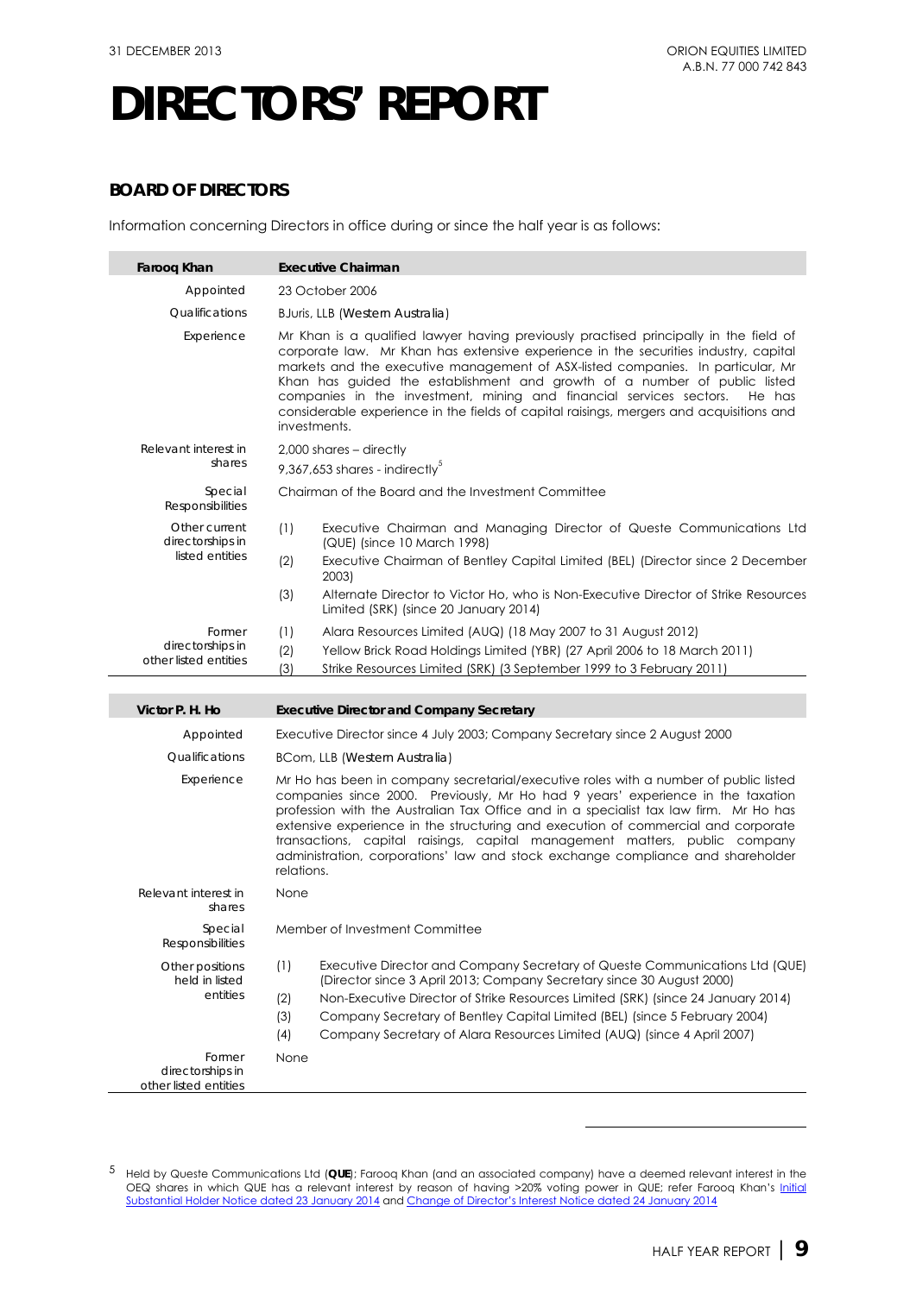### **BOARD OF DIRECTORS**

Information concerning Directors in office during or since the half year is as follows:

| <b>Faroog Khan</b>                                  | <b>Executive Chairman</b>                                                                                                                                                                                                                                                                                                                                                                                                                                                                                                                |  |  |
|-----------------------------------------------------|------------------------------------------------------------------------------------------------------------------------------------------------------------------------------------------------------------------------------------------------------------------------------------------------------------------------------------------------------------------------------------------------------------------------------------------------------------------------------------------------------------------------------------------|--|--|
| Appointed                                           | 23 October 2006                                                                                                                                                                                                                                                                                                                                                                                                                                                                                                                          |  |  |
| Qualifications                                      | BJuris, LLB (Western Australia)                                                                                                                                                                                                                                                                                                                                                                                                                                                                                                          |  |  |
| Experience                                          | Mr Khan is a qualified lawyer having previously practised principally in the field of<br>corporate law. Mr Khan has extensive experience in the securities industry, capital<br>markets and the executive management of ASX-listed companies. In particular, Mr<br>Khan has guided the establishment and growth of a number of public listed<br>companies in the investment, mining and financial services sectors.<br>He has<br>considerable experience in the fields of capital raisings, mergers and acquisitions and<br>investments. |  |  |
| Relevant interest in<br>shares                      | 2,000 shares - directly<br>9,367,653 shares - indirectly $5$                                                                                                                                                                                                                                                                                                                                                                                                                                                                             |  |  |
| Special<br>Responsibilities                         | Chairman of the Board and the Investment Committee                                                                                                                                                                                                                                                                                                                                                                                                                                                                                       |  |  |
| Other current<br>directorships in                   | (1)<br>Executive Chairman and Managing Director of Queste Communications Ltd<br>(QUE) (since 10 March 1998)                                                                                                                                                                                                                                                                                                                                                                                                                              |  |  |
| listed entities                                     | Executive Chairman of Bentley Capital Limited (BEL) (Director since 2 December<br>(2)<br>2003)                                                                                                                                                                                                                                                                                                                                                                                                                                           |  |  |
|                                                     | Alternate Director to Victor Ho, who is Non-Executive Director of Strike Resources<br>(3)<br>Limited (SRK) (since 20 January 2014)                                                                                                                                                                                                                                                                                                                                                                                                       |  |  |
| Former<br>directorships in<br>other listed entities | Alara Resources Limited (AUQ) (18 May 2007 to 31 August 2012)<br>(1)<br>Yellow Brick Road Holdings Limited (YBR) (27 April 2006 to 18 March 2011)<br>(2)<br>(3)<br>Strike Resources Limited (SRK) (3 September 1999 to 3 February 2011)                                                                                                                                                                                                                                                                                                  |  |  |
|                                                     |                                                                                                                                                                                                                                                                                                                                                                                                                                                                                                                                          |  |  |
| Victor P. H. Ho                                     | <b>Executive Director and Company Secretary</b>                                                                                                                                                                                                                                                                                                                                                                                                                                                                                          |  |  |
| Appointed                                           | Executive Director since 4 July 2003; Company Secretary since 2 August 2000                                                                                                                                                                                                                                                                                                                                                                                                                                                              |  |  |
| Qualifications                                      | BCom, LLB (Western Australia)                                                                                                                                                                                                                                                                                                                                                                                                                                                                                                            |  |  |
| Experience                                          | Mr Ho has been in company secretarial/executive roles with a number of public listed<br>companies since 2000. Previously, Mr Ho had 9 years' experience in the taxation<br>profession with the Australian Tax Office and in a specialist tax law firm. Mr Ho has<br>extensive experience in the structuring and execution of commercial and corporate<br>transactions, capital raisings, capital management matters, public company<br>administration, corporations' law and stock exchange compliance and shareholder<br>relations.     |  |  |
| Relevant interest in<br>shares                      | None                                                                                                                                                                                                                                                                                                                                                                                                                                                                                                                                     |  |  |
| Special<br>Responsibilities                         | Member of Investment Committee                                                                                                                                                                                                                                                                                                                                                                                                                                                                                                           |  |  |
| Other positions<br>held in listed                   | Executive Director and Company Secretary of Queste Communications Ltd (QUE)<br>(1)<br>(Director since 3 April 2013; Company Secretary since 30 August 2000)                                                                                                                                                                                                                                                                                                                                                                              |  |  |
| entities                                            | Non-Executive Director of Strike Resources Limited (SRK) (since 24 January 2014)<br>(2)<br>(3)<br>Company Secretary of Bentley Capital Limited (BEL) (since 5 February 2004)<br>(4)<br>Company Secretary of Alara Resources Limited (AUQ) (since 4 April 2007)                                                                                                                                                                                                                                                                           |  |  |
| Former<br>directorships in<br>other listed entities | None                                                                                                                                                                                                                                                                                                                                                                                                                                                                                                                                     |  |  |

-

<sup>5</sup> Held by Queste Communications Ltd (**QUE**); Farooq Khan (and an associated company) have a deemed relevant interest in the OEQ shares in which QUE has a relevant interest by reason of having >20% voting power in QUE; refer Farooq Khan's <u>Initial</u> Substantial Holder Notice dated 23 January 2014 and Change of Director's Interest Notice dated 24 January 2014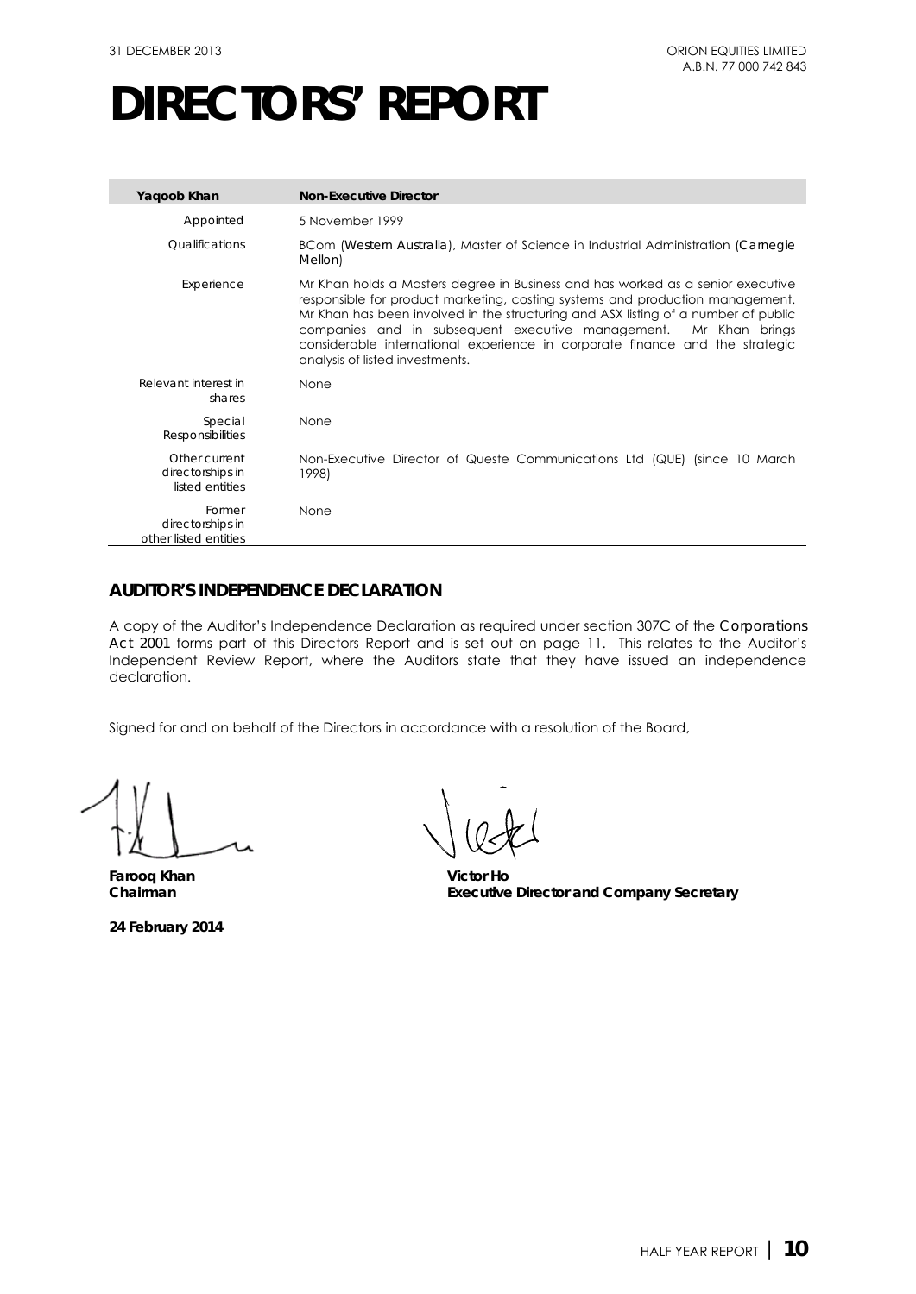| Yaqoob Khan                                          | <b>Non-Executive Director</b>                                                                                                                                                                                                                                                                                                                                                                                                                 |
|------------------------------------------------------|-----------------------------------------------------------------------------------------------------------------------------------------------------------------------------------------------------------------------------------------------------------------------------------------------------------------------------------------------------------------------------------------------------------------------------------------------|
| Appointed                                            | 5 November 1999                                                                                                                                                                                                                                                                                                                                                                                                                               |
| <i><u><b>Oualifications</b></u></i>                  | BCom ( <i>Western Australia</i> ), Master of Science in Industrial Administration ( <i>Carnegie</i><br>Mellon)                                                                                                                                                                                                                                                                                                                                |
| Experience                                           | Mr Khan holds a Masters degree in Business and has worked as a senior executive<br>responsible for product marketing, costing systems and production management.<br>Mr Khan has been involved in the structuring and ASX listing of a number of public<br>companies and in subsequent executive management. Mr Khan brings<br>considerable international experience in corporate finance and the strategic<br>analysis of listed investments. |
| Relevant interest in<br>shares                       | None                                                                                                                                                                                                                                                                                                                                                                                                                                          |
| Special<br><b>Responsibilities</b>                   | None                                                                                                                                                                                                                                                                                                                                                                                                                                          |
| Other current<br>directorships in<br>listed entities | Non-Executive Director of Queste Communications Ltd (QUE) (since 10 March<br>1998)                                                                                                                                                                                                                                                                                                                                                            |
| Former<br>directorships in<br>other listed entities  | None                                                                                                                                                                                                                                                                                                                                                                                                                                          |

### **AUDITOR'S INDEPENDENCE DECLARATION**

A copy of the Auditor's Independence Declaration as required under section 307C of the *Corporations Act 2001* forms part of this Directors Report and is set out on page 11. This relates to the Auditor's Independent Review Report, where the Auditors state that they have issued an independence declaration.

Signed for and on behalf of the Directors in accordance with a resolution of the Board,

**Farooq Khan Victor Ho**

**24 February 2014** 

**Chairman Executive Director and Company Secretary**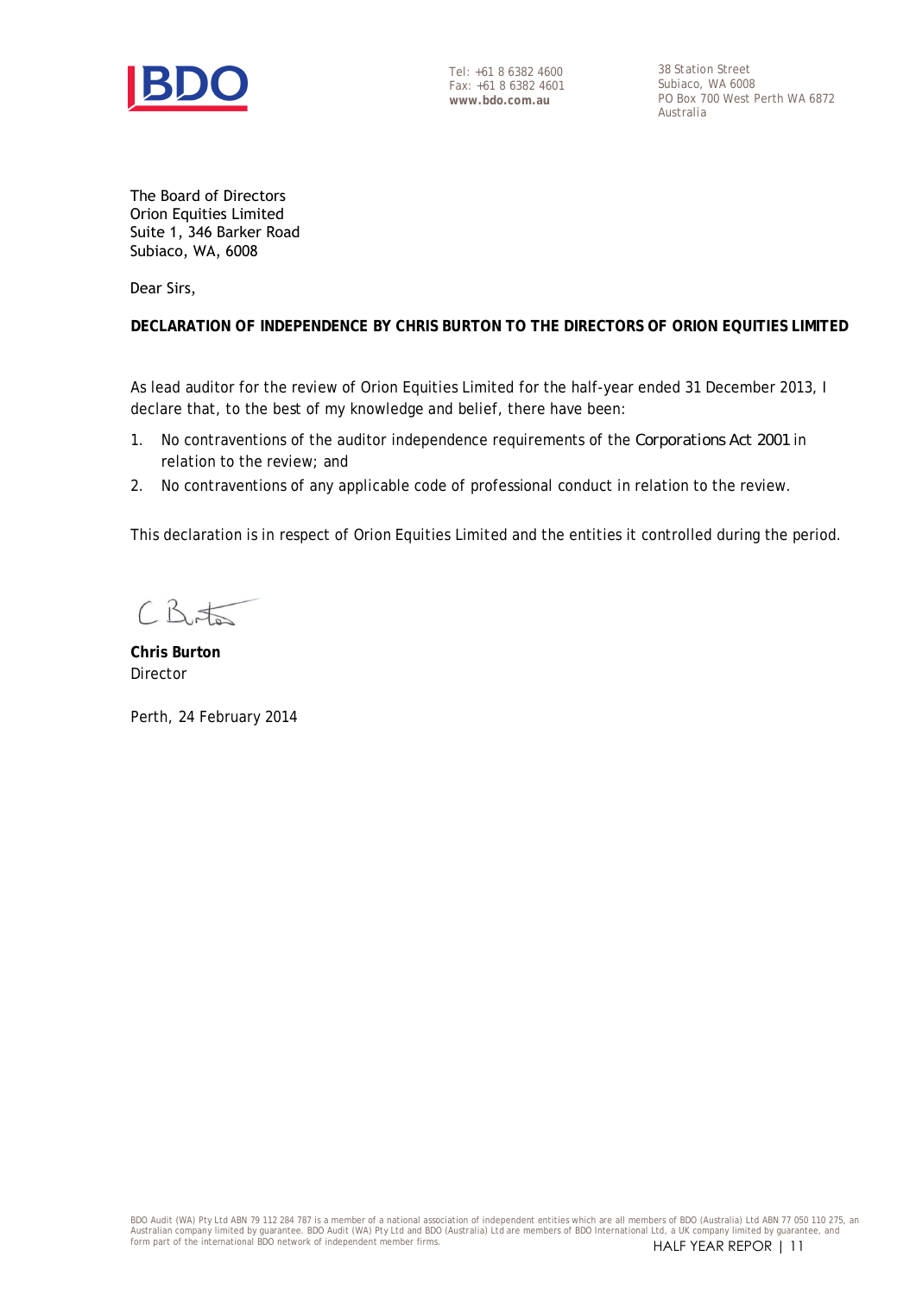

Tel: +61 8 6382 4600 Fax: +61 8 6382 4601 **www.bdo.com.au**

38 Station Street Subiaco, WA 6008 PO Box 700 West Perth WA 6872 Australia

The Board of Directors Orion Equities Limited Suite 1, 346 Barker Road Subiaco, WA, 6008

Dear Sirs,

**DECLARATION OF INDEPENDENCE BY CHRIS BURTON TO THE DIRECTORS OF ORION EQUITIES LIMITED**

As lead auditor for the review of Orion Equities Limited for the half-year ended 31 December 2013, I declare that, to the best of my knowledge and belief, there have been:

- 1. No contraventions of the auditor independence requirements of the *Corporations Act 2001* in relation to the review; and
- 2. No contraventions of any applicable code of professional conduct in relation to the review.

This declaration is in respect of Orion Equities Limited and the entities it controlled during the period.

 $CB$ 

**Chris Burton** Director

Perth, 24 February 2014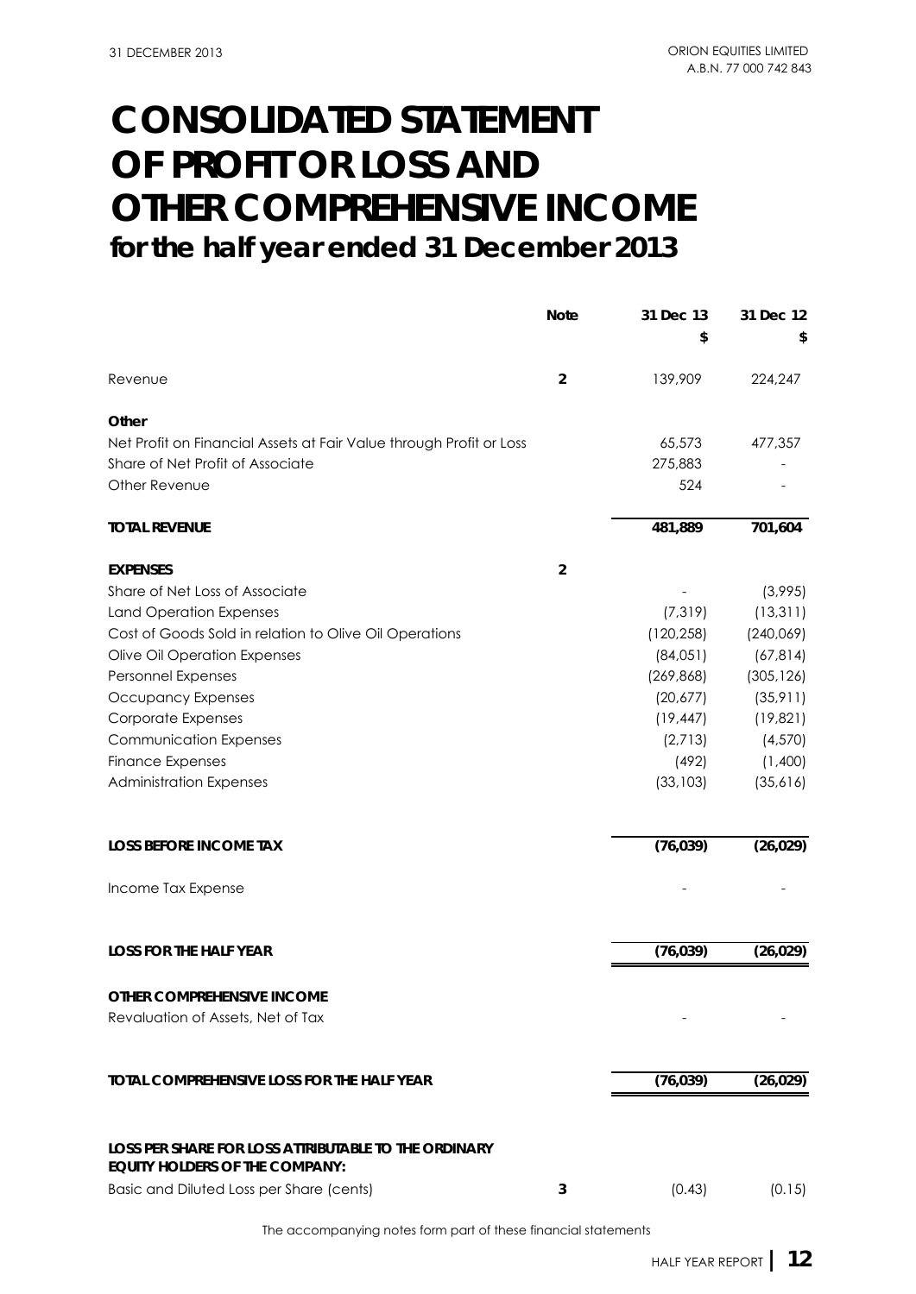### **CONSOLIDATED STATEMENT for the half year ended 31 December 2013 OF PROFIT OR LOSS AND OTHER COMPREHENSIVE INCOME**

|                                                                                               | <b>Note</b>    | 31 Dec 13<br>\$ | 31 Dec 12  |
|-----------------------------------------------------------------------------------------------|----------------|-----------------|------------|
| Revenue                                                                                       | $\overline{2}$ | 139,909         | 224,247    |
|                                                                                               |                |                 |            |
| Other                                                                                         |                |                 |            |
| Net Profit on Financial Assets at Fair Value through Profit or Loss                           |                | 65,573          | 477,357    |
| Share of Net Profit of Associate                                                              |                | 275,883         |            |
| Other Revenue                                                                                 |                | 524             |            |
| <b>TOTAL REVENUE</b>                                                                          |                | 481,889         | 701,604    |
| <b>EXPENSES</b>                                                                               | $\overline{2}$ |                 |            |
| Share of Net Loss of Associate                                                                |                |                 | (3,995)    |
| <b>Land Operation Expenses</b>                                                                |                | (7, 319)        | (13, 311)  |
| Cost of Goods Sold in relation to Olive Oil Operations                                        |                | (120, 258)      | (240,069)  |
| Olive Oil Operation Expenses                                                                  |                | (84,051)        | (67, 814)  |
| Personnel Expenses                                                                            |                | (269, 868)      | (305, 126) |
| Occupancy Expenses                                                                            |                | (20,677)        | (35, 911)  |
| <b>Corporate Expenses</b>                                                                     |                | (19, 447)       | (19, 821)  |
| Communication Expenses                                                                        |                | (2,713)         | (4, 570)   |
| <b>Finance Expenses</b>                                                                       |                | (492)           | (1,400)    |
| <b>Administration Expenses</b>                                                                |                | (33, 103)       | (35,616)   |
| <b>LOSS BEFORE INCOME TAX</b>                                                                 |                | (76, 039)       | (26, 029)  |
| Income Tax Expense                                                                            |                |                 |            |
| <b>LOSS FOR THE HALF YEAR</b>                                                                 |                | (76, 039)       | (26, 029)  |
|                                                                                               |                |                 |            |
| OTHER COMPREHENSIVE INCOME                                                                    |                |                 |            |
| Revaluation of Assets, Net of Tax                                                             |                |                 |            |
| TOTAL COMPREHENSIVE LOSS FOR THE HALF YEAR                                                    |                | (76, 039)       | (26, 029)  |
|                                                                                               |                |                 |            |
| LOSS PER SHARE FOR LOSS ATTRIBUTABLE TO THE ORDINARY<br><b>EQUITY HOLDERS OF THE COMPANY:</b> |                |                 |            |
| Basic and Diluted Loss per Share (cents)                                                      | 3              | (0.43)          | (0.15)     |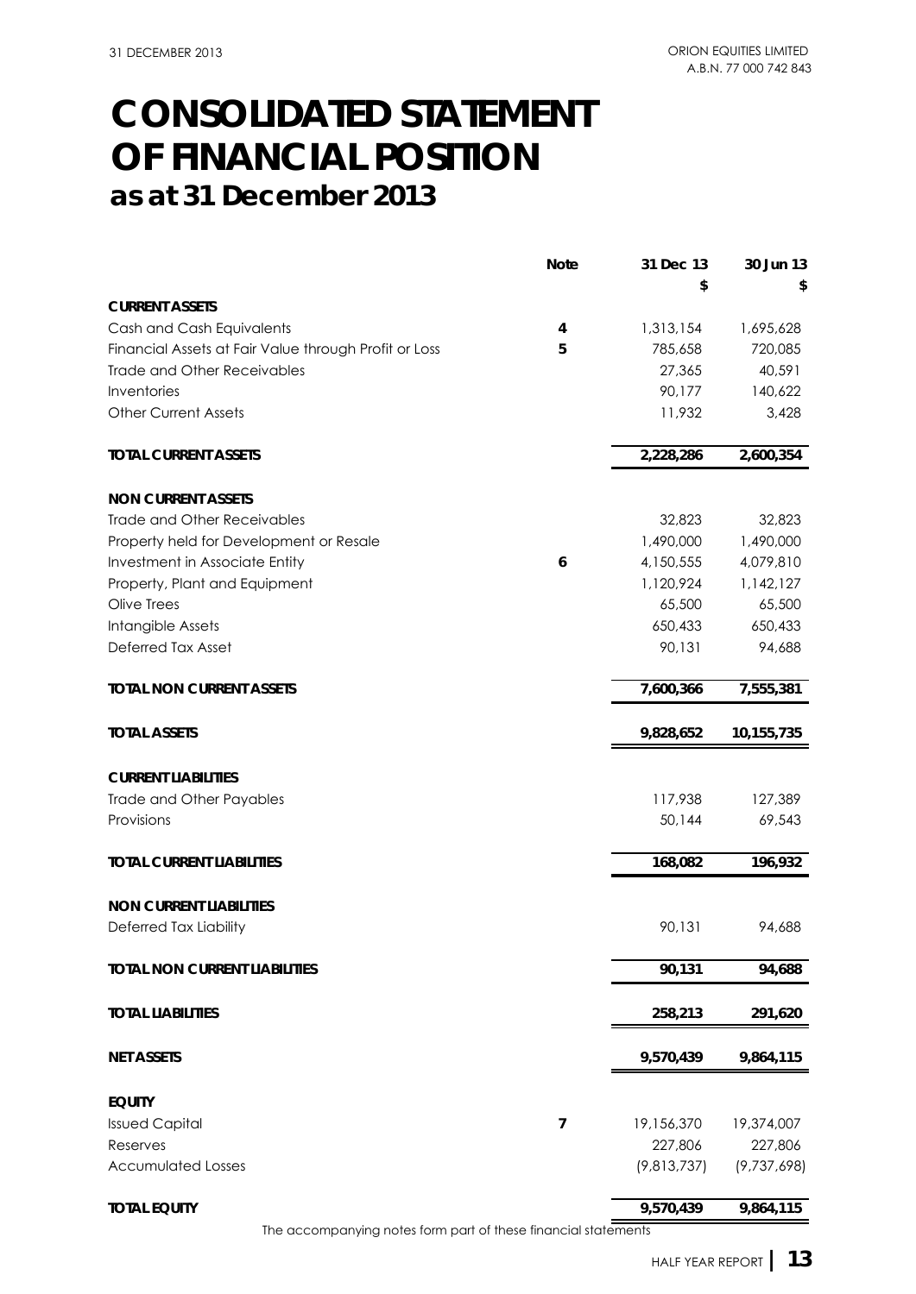### **CONSOLIDATED STATEMENT as at 31 December 2013 OF FINANCIAL POSITION**

|                                                       | <b>Note</b>    | 31 Dec 13   | 30 Jun 13   |
|-------------------------------------------------------|----------------|-------------|-------------|
|                                                       |                | \$          |             |
| <b>CURRENT ASSETS</b>                                 |                |             |             |
| Cash and Cash Equivalents                             | 4              | 1,313,154   | 1,695,628   |
| Financial Assets at Fair Value through Profit or Loss | 5              | 785,658     | 720,085     |
| <b>Trade and Other Receivables</b>                    |                | 27,365      | 40,591      |
| Inventories                                           |                | 90,177      | 140,622     |
| <b>Other Current Assets</b>                           |                | 11,932      | 3,428       |
| <b>TOTAL CURRENT ASSETS</b>                           |                | 2,228,286   | 2,600,354   |
| <b>NON CURRENT ASSETS</b>                             |                |             |             |
| <b>Trade and Other Receivables</b>                    |                | 32,823      | 32,823      |
| Property held for Development or Resale               |                | 1,490,000   | 1,490,000   |
| Investment in Associate Entity                        | 6              | 4,150,555   | 4,079,810   |
| Property, Plant and Equipment                         |                | 1,120,924   | 1,142,127   |
| Olive Trees                                           |                | 65,500      | 65,500      |
| Intangible Assets                                     |                | 650,433     | 650,433     |
| Deferred Tax Asset                                    |                | 90,131      | 94,688      |
| <b>TOTAL NON CURRENT ASSETS</b>                       |                | 7,600,366   | 7,555,381   |
| <b>TOTAL ASSETS</b>                                   |                | 9,828,652   | 10,155,735  |
| <b>CURRENT LIABILITIES</b>                            |                |             |             |
| Trade and Other Payables                              |                | 117,938     | 127,389     |
| Provisions                                            |                | 50,144      | 69,543      |
| <b>TOTAL CURRENT LIABILITIES</b>                      |                | 168,082     | 196,932     |
| <b>NON CURRENT LIABILITIES</b>                        |                |             |             |
| Deferred Tax Liability                                |                | 90,131      | 94,688      |
| <b>TOTAL NON CURRENT LIABILITIES</b>                  |                | 90,131      | 94,688      |
| <b>TOTAL LIABILITIES</b>                              |                | 258,213     | 291,620     |
| <b>NET ASSETS</b>                                     |                | 9,570,439   | 9,864,115   |
| <b>EQUITY</b>                                         |                |             |             |
| <b>Issued Capital</b>                                 | $\overline{7}$ | 19,156,370  | 19,374,007  |
| Reserves                                              |                | 227,806     | 227,806     |
| <b>Accumulated Losses</b>                             |                | (9,813,737) | (9,737,698) |
| <b>TOTAL EQUITY</b>                                   |                | 9,570,439   | 9,864,115   |
|                                                       |                |             |             |

The accompanying notes form part of these financial statements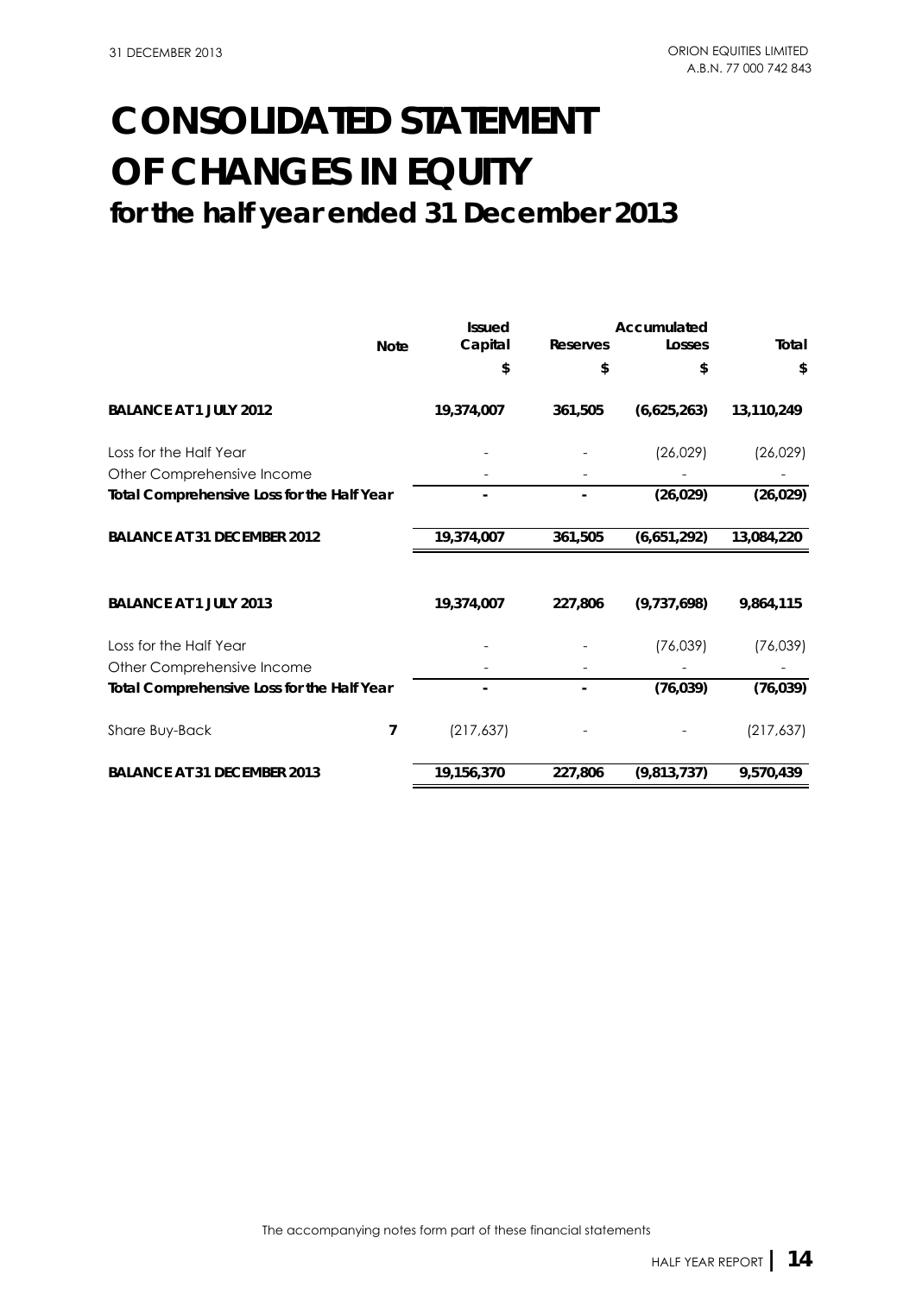## **for the half year ended 31 December 2013 OF CHANGES IN EQUITY CONSOLIDATED STATEMENT**

|                                            |             | <b>Issued</b> |          | Accumulated |            |
|--------------------------------------------|-------------|---------------|----------|-------------|------------|
|                                            | <b>Note</b> | Capital       | Reserves | Losses      | Total      |
|                                            |             | \$            | \$       | \$          | \$         |
| <b>BALANCE AT 1 JULY 2012</b>              |             | 19,374,007    | 361,505  | (6,625,263) | 13,110,249 |
| Loss for the Half Year                     |             |               |          | (26,029)    | (26,029)   |
| Other Comprehensive Income                 |             |               |          |             |            |
| Total Comprehensive Loss for the Half Year |             |               |          | (26, 029)   | (26, 029)  |
| <b>BALANCE AT 31 DECEMBER 2012</b>         |             | 19,374,007    | 361,505  | (6,651,292) | 13,084,220 |
| <b>BALANCE AT 1 JULY 2013</b>              |             | 19,374,007    | 227,806  | (9,737,698) | 9,864,115  |
|                                            |             |               |          |             |            |
| Loss for the Half Year                     |             |               |          | (76,039)    | (76,039)   |
| Other Comprehensive Income                 |             |               |          |             |            |
| Total Comprehensive Loss for the Half Year |             |               |          | (76, 039)   | (76, 039)  |
| Share Buy-Back                             | 7           | (217,637)     |          |             | (217, 637) |
| <b>BALANCE AT 31 DECEMBER 2013</b>         |             | 19,156,370    | 227,806  | (9,813,737) | 9,570,439  |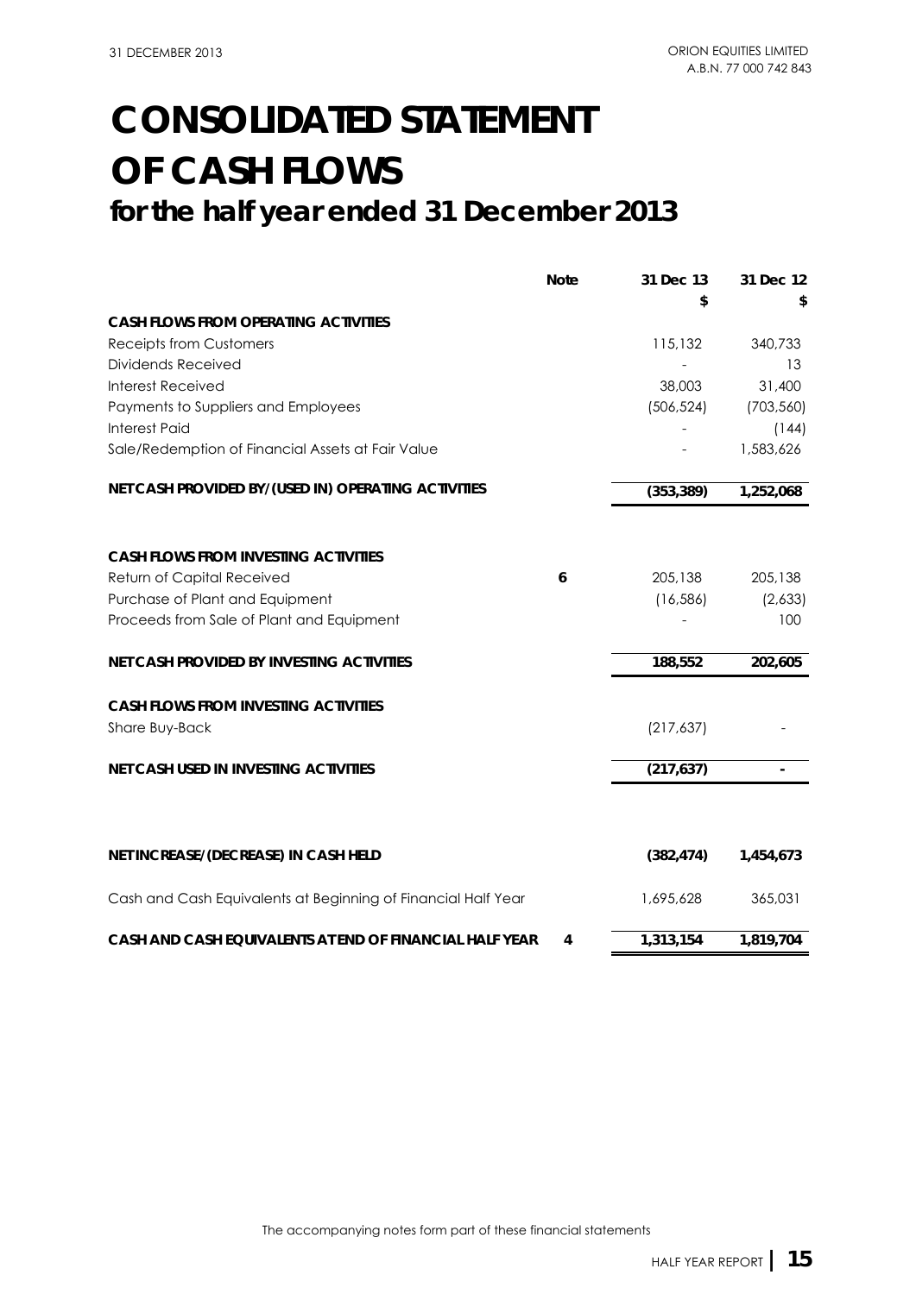## **for the half year ended 31 December 2013 OF CASH FLOWS CONSOLIDATED STATEMENT**

|                                                               | <b>Note</b> | 31 Dec 13<br>\$ | 31 Dec 12  |
|---------------------------------------------------------------|-------------|-----------------|------------|
| <b>CASH FLOWS FROM OPERATING ACTIVITIES</b>                   |             |                 |            |
| <b>Receipts from Customers</b>                                |             | 115,132         | 340,733    |
| Dividends Received                                            |             |                 | 13         |
| <b>Interest Received</b>                                      |             | 38,003          | 31,400     |
| Payments to Suppliers and Employees                           |             | (506, 524)      | (703, 560) |
| <b>Interest Paid</b>                                          |             |                 | (144)      |
| Sale/Redemption of Financial Assets at Fair Value             |             |                 | 1,583,626  |
| NET CASH PROVIDED BY/(USED IN) OPERATING ACTIVITIES           |             | (353, 389)      | 1,252,068  |
| <b>CASH FLOWS FROM INVESTING ACTIVITIES</b>                   |             |                 |            |
| Return of Capital Received                                    | 6           | 205,138         | 205,138    |
| Purchase of Plant and Equipment                               |             | (16, 586)       | (2,633)    |
| Proceeds from Sale of Plant and Equipment                     |             |                 | 100        |
| <b>NET CASH PROVIDED BY INVESTING ACTIVITIES</b>              |             | 188,552         | 202,605    |
| <b>CASH FLOWS FROM INVESTING ACTIVITIES</b>                   |             |                 |            |
| Share Buy-Back                                                |             | (217,637)       |            |
| NET CASH USED IN INVESTING ACTIVITIES                         |             | (217, 637)      |            |
|                                                               |             |                 |            |
| NET INCREASE/(DECREASE) IN CASH HELD                          |             | (382, 474)      | 1,454,673  |
| Cash and Cash Equivalents at Beginning of Financial Half Year |             | 1,695,628       | 365,031    |
| CASH AND CASH EQUIVALENTS AT END OF FINANCIAL HALF YEAR       | 4           | 1,313,154       | 1,819,704  |

The accompanying notes form part of these financial statements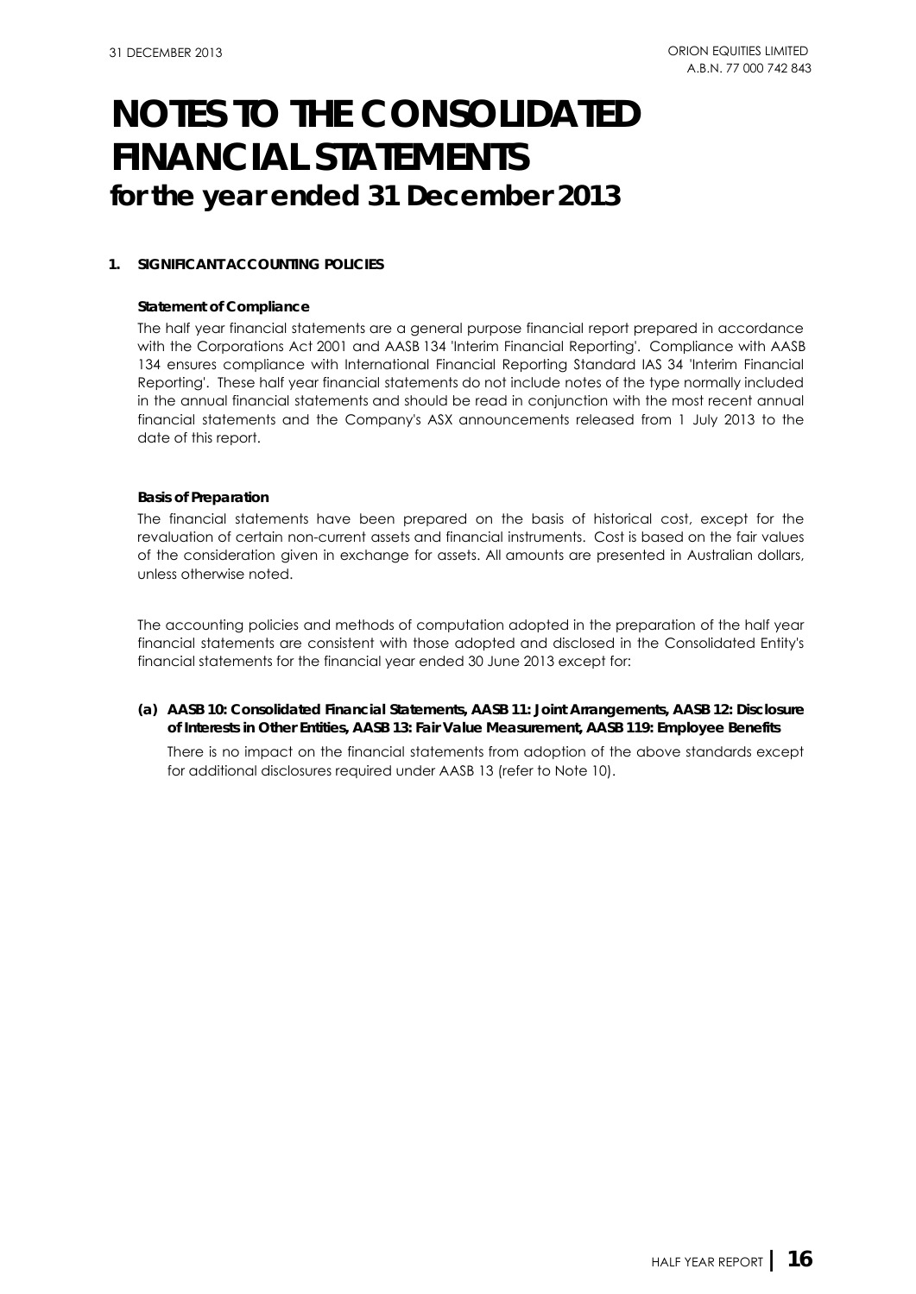### **1. SIGNIFICANT ACCOUNTING POLICIES**

#### **Statement of Compliance**

The half year financial statements are a general purpose financial report prepared in accordance with the Corporations Act 2001 and AASB 134 'Interim Financial Reporting'. Compliance with AASB 134 ensures compliance with International Financial Reporting Standard IAS 34 'Interim Financial Reporting'. These half year financial statements do not include notes of the type normally included in the annual financial statements and should be read in conjunction with the most recent annual financial statements and the Company's ASX announcements released from 1 July 2013 to the date of this report.

#### **Basis of Preparation**

The financial statements have been prepared on the basis of historical cost, except for the revaluation of certain non-current assets and financial instruments. Cost is based on the fair values of the consideration given in exchange for assets. All amounts are presented in Australian dollars, unless otherwise noted.

The accounting policies and methods of computation adopted in the preparation of the half year financial statements are consistent with those adopted and disclosed in the Consolidated Entity's financial statements for the financial year ended 30 June 2013 except for:

**(a) AASB 10: Consolidated Financial Statements, AASB 11: Joint Arrangements, AASB 12: Disclosure of Interests in Other Entities, AASB 13: Fair Value Measurement, AASB 119: Employee Benefits**

There is no impact on the financial statements from adoption of the above standards except for additional disclosures required under AASB 13 (refer to Note 10).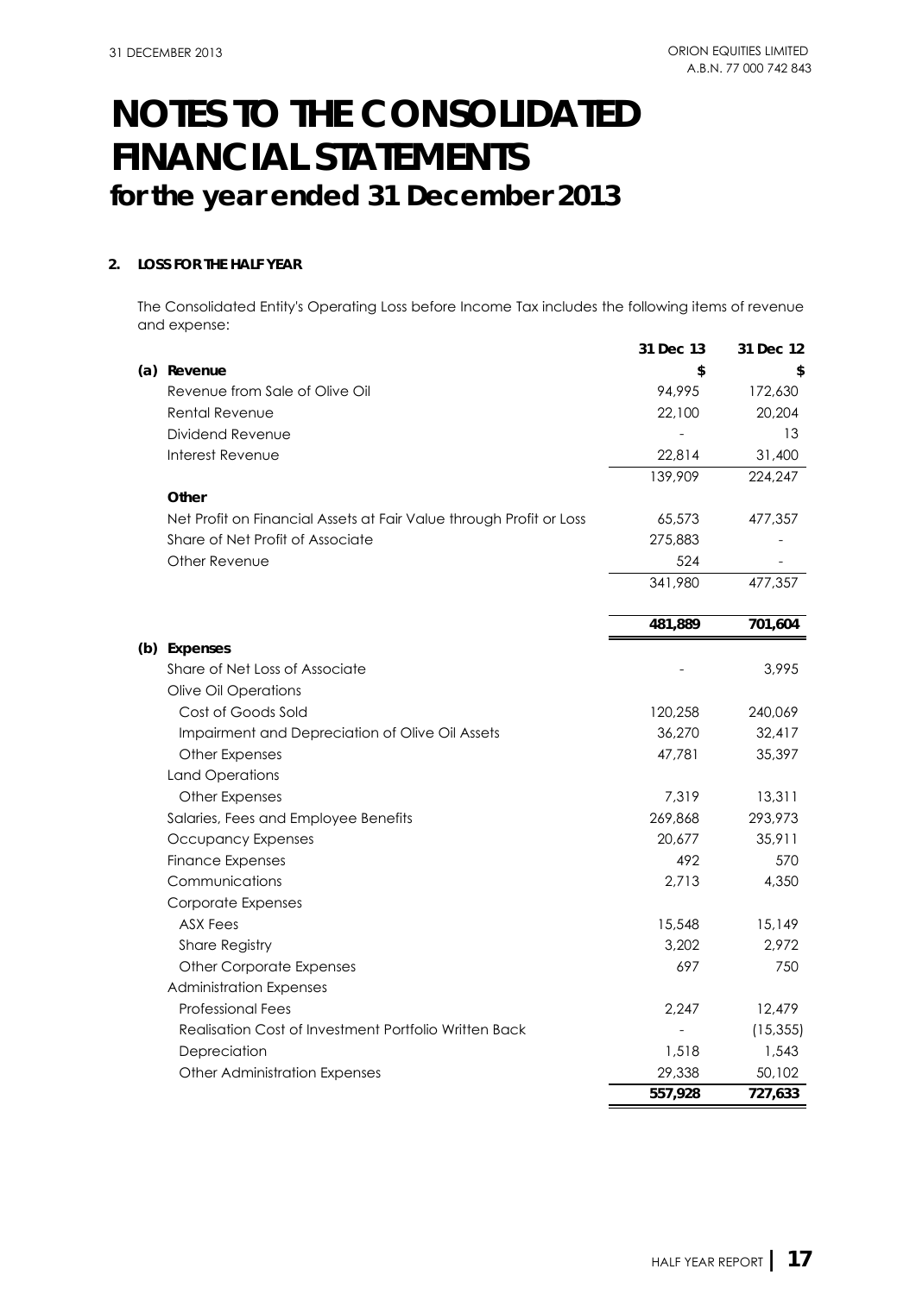### **2. LOSS FOR THE HALF YEAR**

The Consolidated Entity's Operating Loss before Income Tax includes the following items of revenue and expense:

|                                                                     | 31 Dec 13 | 31 Dec 12 |
|---------------------------------------------------------------------|-----------|-----------|
| (a) Revenue                                                         | \$        | \$        |
| Revenue from Sale of Olive Oil                                      | 94,995    | 172,630   |
| Rental Revenue                                                      | 22,100    | 20,204    |
| Dividend Revenue                                                    |           | 13        |
| Interest Revenue                                                    | 22,814    | 31,400    |
|                                                                     | 139,909   | 224,247   |
| Other                                                               |           |           |
| Net Profit on Financial Assets at Fair Value through Profit or Loss | 65,573    | 477,357   |
| Share of Net Profit of Associate                                    | 275,883   |           |
| Other Revenue                                                       | 524       |           |
|                                                                     | 341,980   | 477,357   |
|                                                                     | 481,889   | 701,604   |
| (b) Expenses                                                        |           |           |
| Share of Net Loss of Associate                                      |           | 3,995     |
| Olive Oil Operations                                                |           |           |
| Cost of Goods Sold                                                  | 120,258   | 240,069   |
| Impairment and Depreciation of Olive Oil Assets                     | 36,270    | 32,417    |
| Other Expenses                                                      | 47,781    | 35,397    |
| <b>Land Operations</b>                                              |           |           |
| Other Expenses                                                      | 7,319     | 13,311    |
| Salaries, Fees and Employee Benefits                                | 269,868   | 293,973   |
| Occupancy Expenses                                                  | 20,677    | 35,911    |
| <b>Finance Expenses</b>                                             | 492       | 570       |
| Communications                                                      | 2,713     | 4,350     |
| Corporate Expenses                                                  |           |           |
| ASX Fees                                                            | 15,548    | 15,149    |
| <b>Share Registry</b>                                               | 3,202     | 2,972     |
| <b>Other Corporate Expenses</b>                                     | 697       | 750       |
| <b>Administration Expenses</b>                                      |           |           |
| <b>Professional Fees</b>                                            | 2,247     | 12,479    |
| Realisation Cost of Investment Portfolio Written Back               |           | (15, 355) |
| Depreciation                                                        | 1,518     | 1,543     |
| <b>Other Administration Expenses</b>                                | 29,338    | 50,102    |
|                                                                     | 557,928   | 727,633   |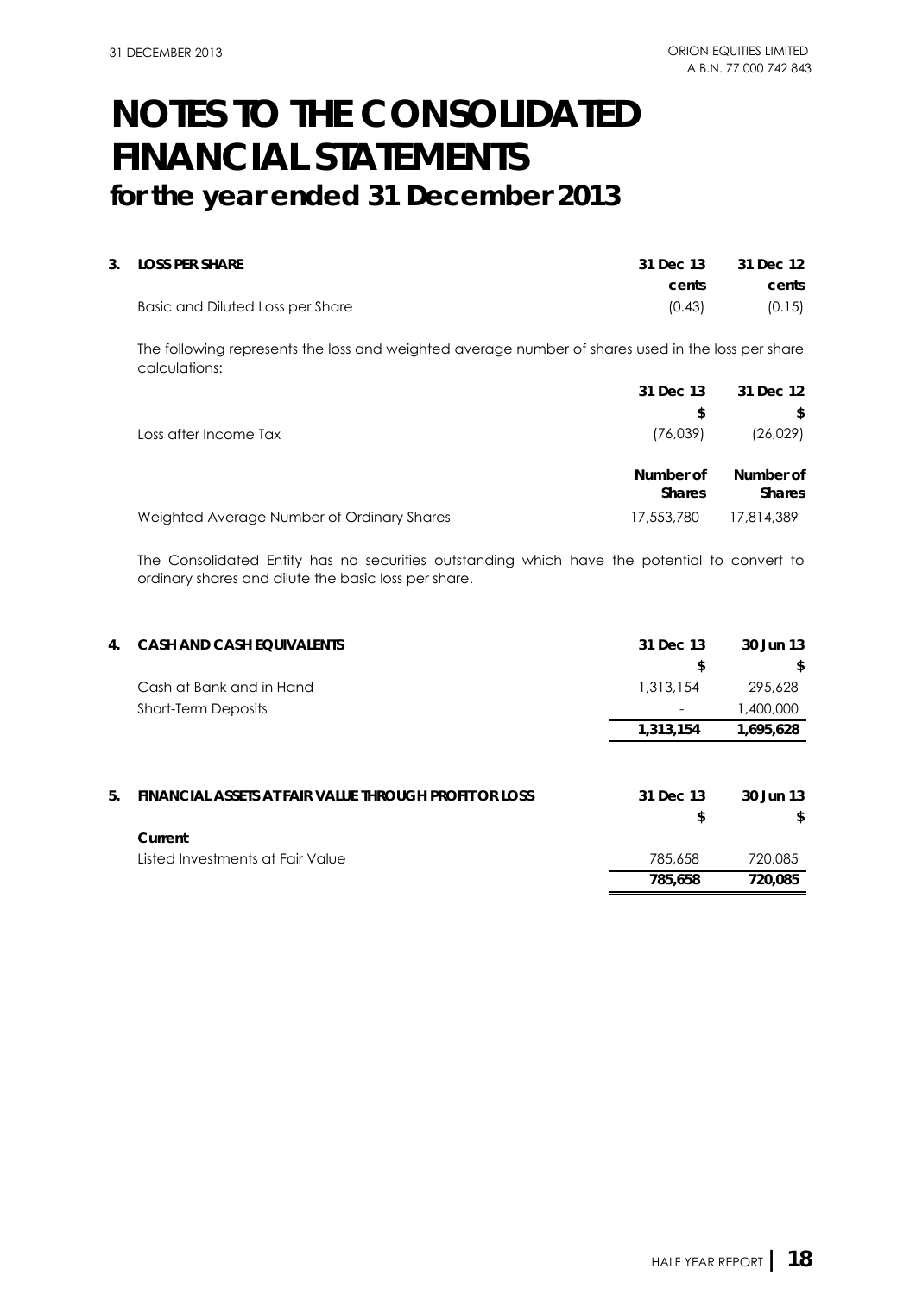| 3. LOSS PER SHARE                | 31 Dec 13 | 31 Dec 12 |
|----------------------------------|-----------|-----------|
|                                  | cents     | cents     |
| Basic and Diluted Loss per Share | (0.43)    | (0.15)    |

The following represents the loss and weighted average number of shares used in the loss per share calculations:

|                                            | 31 Dec 13                  | 31 Dec 12                  |
|--------------------------------------------|----------------------------|----------------------------|
|                                            | \$                         | \$.                        |
| Loss after Income Tax                      | (76,039)                   | (26,029)                   |
|                                            | Number of<br><b>Shares</b> | Number of<br><b>Shares</b> |
| Weighted Average Number of Ordinary Shares | 17,553,780                 | 17.814.389                 |

The Consolidated Entity has no securities outstanding which have the potential to convert to ordinary shares and dilute the basic loss per share.

| 4. | <b>CASH AND CASH EQUIVALENTS</b>                      | 31 Dec 13 | 30 Jun 13 |
|----|-------------------------------------------------------|-----------|-----------|
|    |                                                       | \$        | \$        |
|    | Cash at Bank and in Hand                              | 1,313,154 | 295,628   |
|    | <b>Short-Term Deposits</b>                            |           | 1,400,000 |
|    |                                                       | 1,313,154 | 1,695,628 |
| 5. | FINANCIAL ASSETS AT FAIR VALUE THROUGH PROFIT OR LOSS | 31 Dec 13 | 30 Jun 13 |
|    |                                                       | \$        | \$        |
|    | Current                                               |           |           |
|    | Listed Investments at Fair Value                      | 785,658   | 720,085   |
|    |                                                       | 785,658   | 720,085   |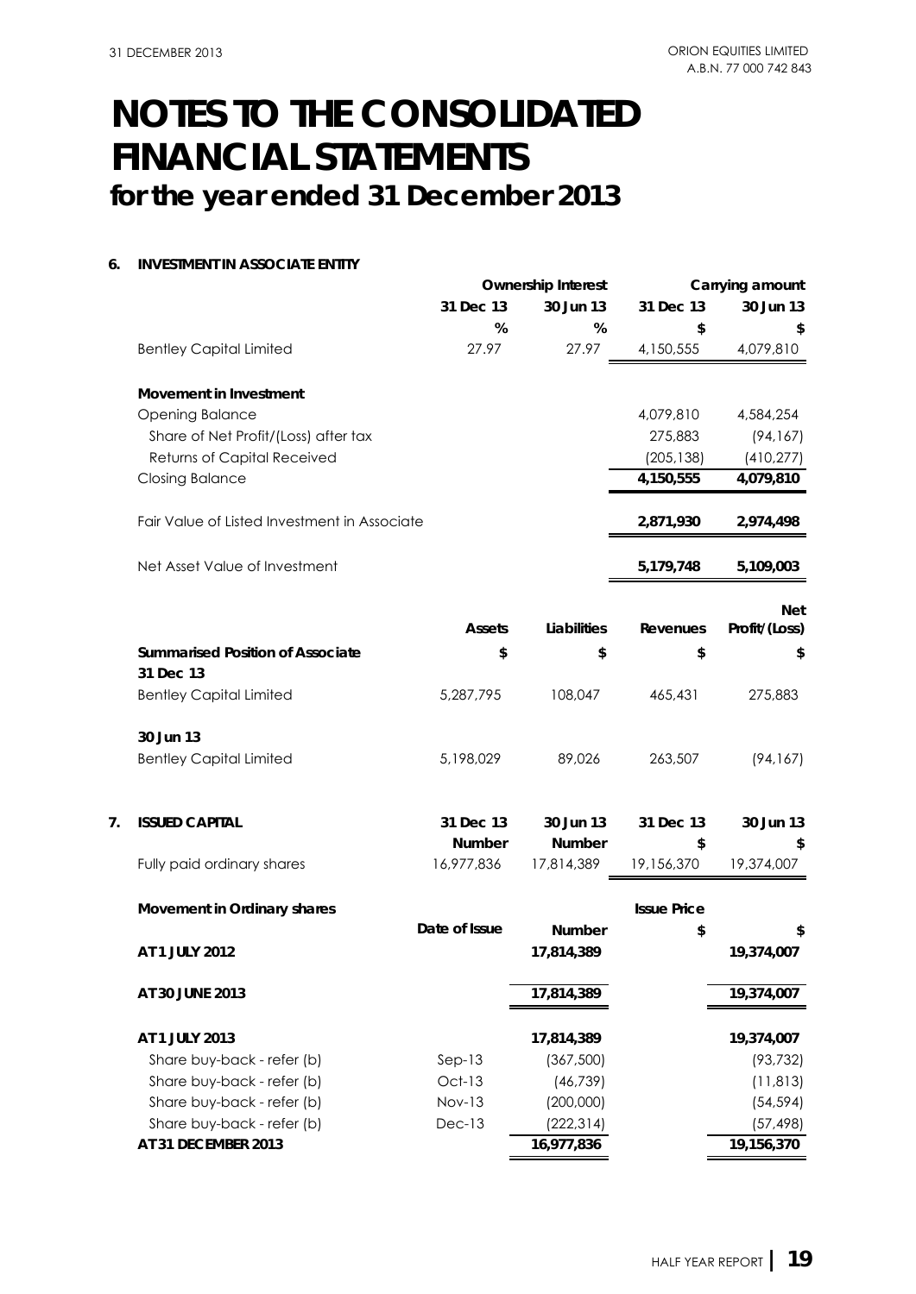### **6. INVESTMENT IN ASSOCIATE ENTITY**

|    |                                              |               | <b>Ownership Interest</b> |                    | Carrying amount |
|----|----------------------------------------------|---------------|---------------------------|--------------------|-----------------|
|    |                                              | 31 Dec 13     | 30 Jun 13                 | 31 Dec 13          | 30 Jun 13       |
|    |                                              | %             | %                         | \$                 |                 |
|    | <b>Bentley Capital Limited</b>               | 27.97         | 27.97                     | 4,150,555          | 4,079,810       |
|    | <b>Movement in Investment</b>                |               |                           |                    |                 |
|    | <b>Opening Balance</b>                       |               |                           | 4,079,810          | 4,584,254       |
|    | Share of Net Profit/(Loss) after tax         |               |                           | 275,883            | (94, 167)       |
|    | Returns of Capital Received                  |               |                           | (205, 138)         | (410, 277)      |
|    | <b>Closing Balance</b>                       |               |                           | 4,150,555          | 4,079,810       |
|    | Fair Value of Listed Investment in Associate |               |                           | 2,871,930          | 2,974,498       |
|    | Net Asset Value of Investment                |               |                           | 5,179,748          | 5,109,003       |
|    |                                              |               |                           |                    |                 |
|    |                                              | <b>Assets</b> | Liabilities               | Revenues           | Net             |
|    |                                              |               |                           |                    | Profit/(Loss)   |
|    | <b>Summarised Position of Associate</b>      | \$            | \$                        | \$                 | \$              |
|    | 31 Dec 13                                    |               |                           |                    |                 |
|    | <b>Bentley Capital Limited</b>               | 5,287,795     | 108,047                   | 465,431            | 275,883         |
|    | 30 Jun 13                                    |               |                           |                    |                 |
|    | <b>Bentley Capital Limited</b>               | 5,198,029     | 89,026                    | 263,507            | (94, 167)       |
| 7. | <b>ISSUED CAPITAL</b>                        | 31 Dec 13     | 30 Jun 13                 | 31 Dec 13          | 30 Jun 13       |
|    |                                              | <b>Number</b> | <b>Number</b>             | \$                 |                 |
|    | Fully paid ordinary shares                   | 16,977,836    | 17,814,389                | 19,156,370         | 19,374,007      |
|    | Movement in Ordinary shares                  |               |                           | <b>Issue Price</b> |                 |
|    |                                              | Date of Issue | <b>Number</b>             | \$                 | \$              |
|    | AT 1 JULY 2012                               |               | 17,814,389                |                    | 19,374,007      |
|    | AT 30 JUNE 2013                              |               | 17,814,389                |                    | 19,374,007      |
|    |                                              |               |                           |                    |                 |
|    | AT 1 JULY 2013                               |               | 17,814,389                |                    | 19,374,007      |
|    | Share buy-back - refer (b)                   | $Sep-13$      | (367, 500)                |                    | (93, 732)       |
|    | Share buy-back - refer (b)                   | $Oct-13$      | (46, 739)                 |                    | (11, 813)       |
|    | Share buy-back - refer (b)                   | <b>Nov-13</b> | (200,000)                 |                    | (54, 594)       |
|    | Share buy-back - refer (b)                   | $Dec-13$      | (222, 314)                |                    | (57, 498)       |
|    | AT 31 DECEMBER 2013                          |               | 16,977,836                |                    | 19,156,370      |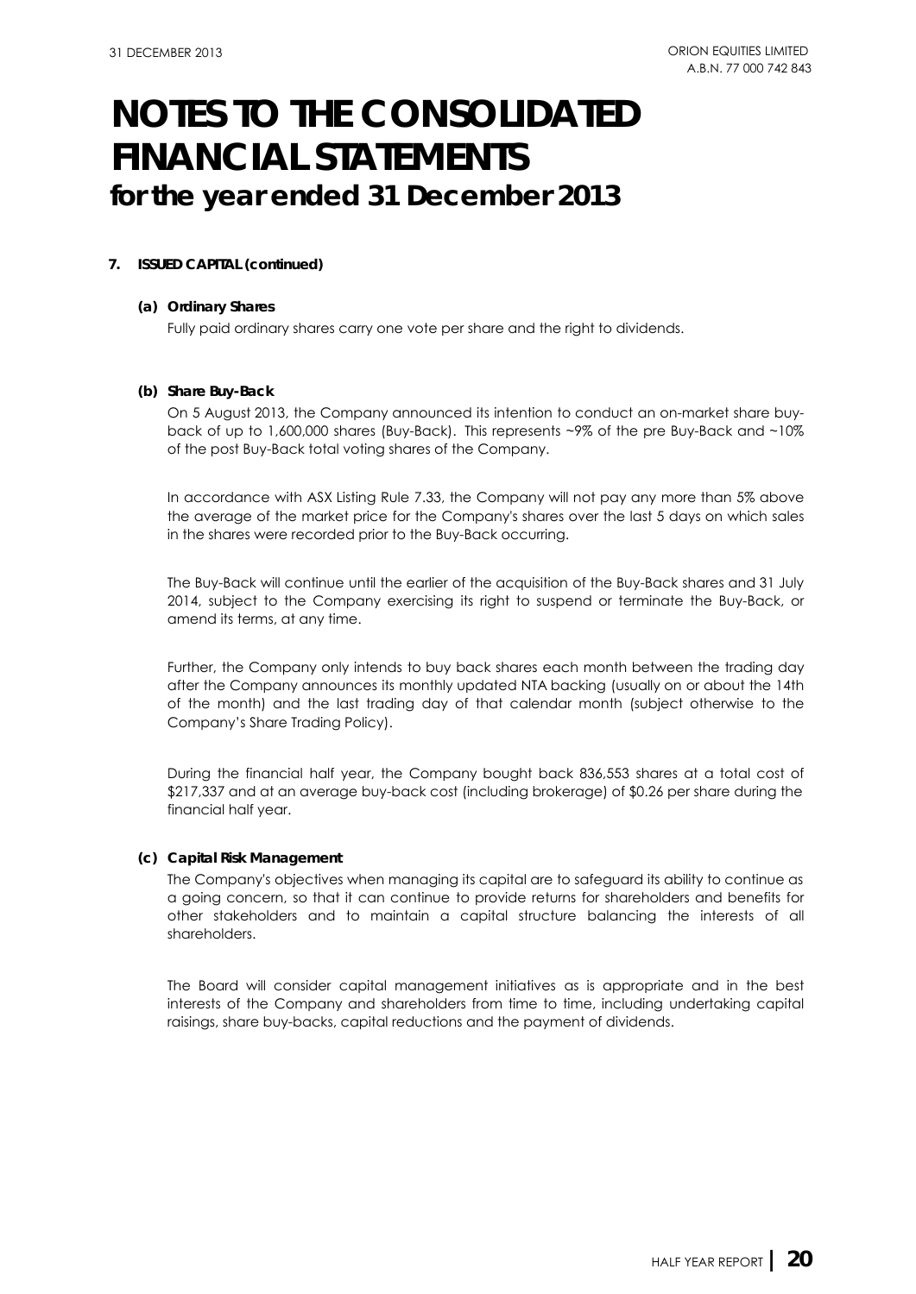### **7. ISSUED CAPITAL (continued)**

#### **(a) Ordinary Shares**

Fully paid ordinary shares carry one vote per share and the right to dividends.

#### **(b) Share Buy-Back**

On 5 August 2013, the Company announced its intention to conduct an on-market share buyback of up to 1,600,000 shares (Buy-Back). This represents ~9% of the pre Buy-Back and ~10% of the post Buy-Back total voting shares of the Company.

In accordance with ASX Listing Rule 7.33, the Company will not pay any more than 5% above the average of the market price for the Company's shares over the last 5 days on which sales in the shares were recorded prior to the Buy-Back occurring.

The Buy-Back will continue until the earlier of the acquisition of the Buy-Back shares and 31 July 2014, subject to the Company exercising its right to suspend or terminate the Buy-Back, or amend its terms, at any time.

Further, the Company only intends to buy back shares each month between the trading day after the Company announces its monthly updated NTA backing (usually on or about the 14th of the month) and the last trading day of that calendar month (subject otherwise to the Company's Share Trading Policy).

During the financial half year, the Company bought back 836,553 shares at a total cost of \$217,337 and at an average buy-back cost (including brokerage) of \$0.26 per share during the financial half year.

### **(c) Capital Risk Management**

The Company's objectives when managing its capital are to safeguard its ability to continue as a going concern, so that it can continue to provide returns for shareholders and benefits for other stakeholders and to maintain a capital structure balancing the interests of all shareholders.

The Board will consider capital management initiatives as is appropriate and in the best interests of the Company and shareholders from time to time, including undertaking capital raisings, share buy-backs, capital reductions and the payment of dividends.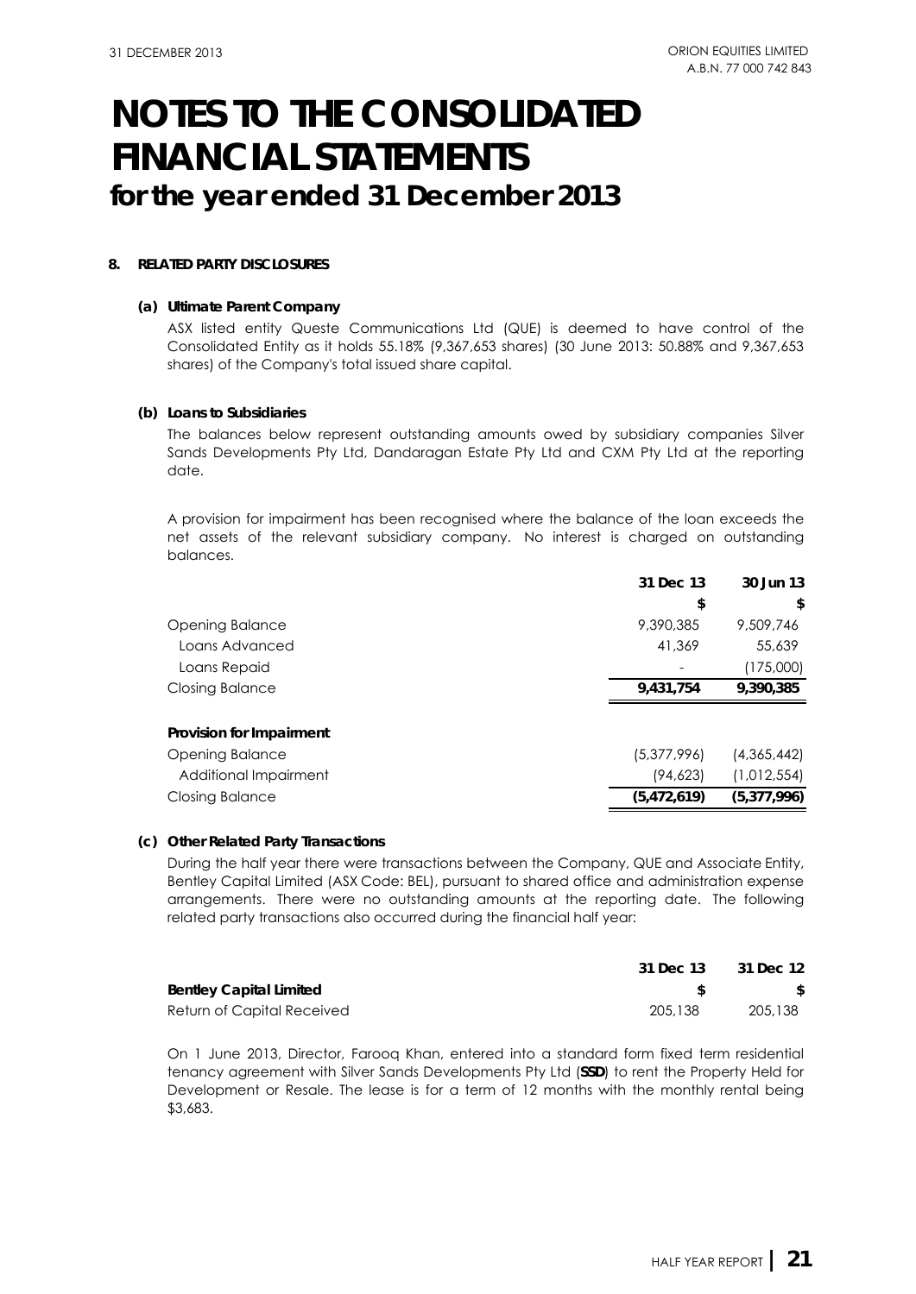#### **8. RELATED PARTY DISCLOSURES**

#### **(a) Ultimate Parent Company**

ASX listed entity Queste Communications Ltd (QUE) is deemed to have control of the Consolidated Entity as it holds 55.18% (9,367,653 shares) (30 June 2013: 50.88% and 9,367,653 shares) of the Company's total issued share capital.

#### **(b) Loans to Subsidiaries**

The balances below represent outstanding amounts owed by subsidiary companies Silver Sands Developments Pty Ltd, Dandaragan Estate Pty Ltd and CXM Pty Ltd at the reporting date.

A provision for impairment has been recognised where the balance of the loan exceeds the net assets of the relevant subsidiary company. No interest is charged on outstanding balances.

|                          | 31 Dec 13   | 30 Jun 13     |
|--------------------------|-------------|---------------|
|                          | \$          | \$            |
| Opening Balance          | 9,390,385   | 9,509,746     |
| Loans Advanced           | 41,369      | 55,639        |
| Loans Repaid             |             | (175,000)     |
| Closing Balance          | 9,431,754   | 9,390,385     |
|                          |             |               |
| Provision for Impairment |             |               |
| Opening Balance          | (5,377,996) | (4,365,442)   |
| Additional Impairment    | (94, 623)   | (1,012,554)   |
| Closing Balance          | (5,472,619) | (5, 377, 996) |
|                          |             |               |

#### **(c) Other Related Party Transactions**

During the half year there were transactions between the Company, QUE and Associate Entity, Bentley Capital Limited (ASX Code: BEL), pursuant to shared office and administration expense arrangements. There were no outstanding amounts at the reporting date. The following related party transactions also occurred during the financial half year:

|                                | 31 Dec 13 | 31 Dec 12 |
|--------------------------------|-----------|-----------|
| <b>Bentley Capital Limited</b> |           |           |
| Return of Capital Received     | 205,138   | 205,138   |

On 1 June 2013, Director, Farooq Khan, entered into a standard form fixed term residential tenancy agreement with Silver Sands Developments Pty Ltd (**SSD**) to rent the Property Held for Development or Resale. The lease is for a term of 12 months with the monthly rental being \$3,683.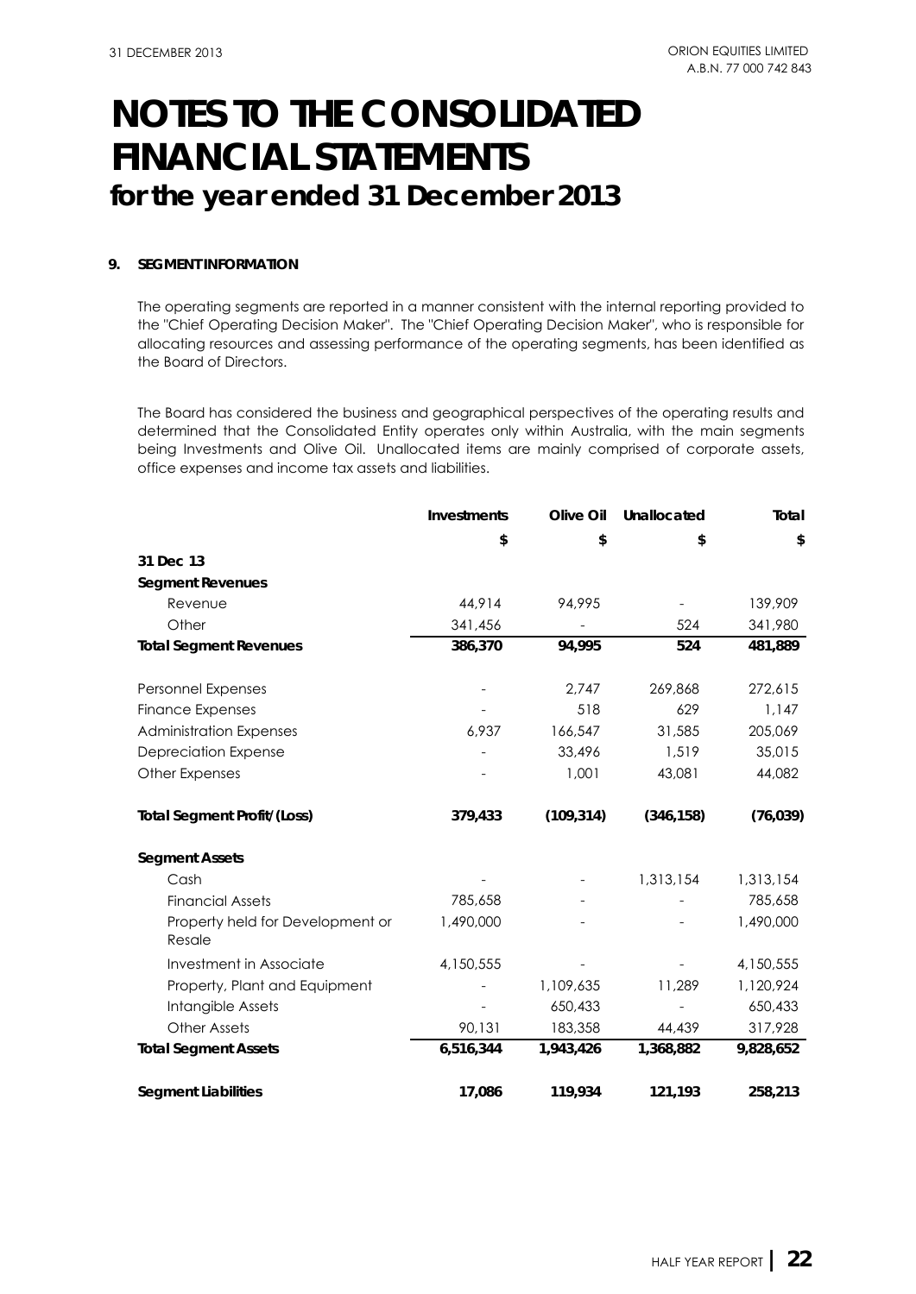### **9. SEGMENT INFORMATION**

The operating segments are reported in a manner consistent with the internal reporting provided to the "Chief Operating Decision Maker". The "Chief Operating Decision Maker", who is responsible for allocating resources and assessing performance of the operating segments, has been identified as the Board of Directors.

The Board has considered the business and geographical perspectives of the operating results and determined that the Consolidated Entity operates only within Australia, with the main segments being Investments and Olive Oil. Unallocated items are mainly comprised of corporate assets, office expenses and income tax assets and liabilities.

|                                            | Investments | Olive Oil  | Unallocated | Total     |
|--------------------------------------------|-------------|------------|-------------|-----------|
|                                            | \$          | \$         | \$          | \$        |
| 31 Dec 13                                  |             |            |             |           |
| <b>Segment Revenues</b>                    |             |            |             |           |
| Revenue                                    | 44,914      | 94,995     |             | 139,909   |
| Other                                      | 341,456     |            | 524         | 341,980   |
| <b>Total Segment Revenues</b>              | 386,370     | 94,995     | 524         | 481,889   |
| Personnel Expenses                         |             | 2,747      | 269,868     | 272,615   |
| <b>Finance Expenses</b>                    |             | 518        | 629         | 1,147     |
| <b>Administration Expenses</b>             | 6,937       | 166,547    | 31,585      | 205,069   |
| <b>Depreciation Expense</b>                |             | 33,496     | 1,519       | 35,015    |
| Other Expenses                             |             | 1,001      | 43,081      | 44,082    |
| <b>Total Segment Profit/(Loss)</b>         | 379,433     | (109, 314) | (346, 158)  | (76, 039) |
| <b>Segment Assets</b>                      |             |            |             |           |
| Cash                                       |             |            | 1,313,154   | 1,313,154 |
| <b>Financial Assets</b>                    | 785,658     |            |             | 785,658   |
| Property held for Development or<br>Resale | 1,490,000   |            |             | 1,490,000 |
| Investment in Associate                    | 4,150,555   |            |             | 4,150,555 |
| Property, Plant and Equipment              |             | 1,109,635  | 11,289      | 1,120,924 |
| Intangible Assets                          |             | 650,433    |             | 650,433   |
| <b>Other Assets</b>                        | 90.131      | 183,358    | 44,439      | 317,928   |
| <b>Total Segment Assets</b>                | 6,516,344   | 1,943,426  | 1,368,882   | 9,828,652 |
| <b>Segment Liabilities</b>                 | 17,086      | 119,934    | 121,193     | 258,213   |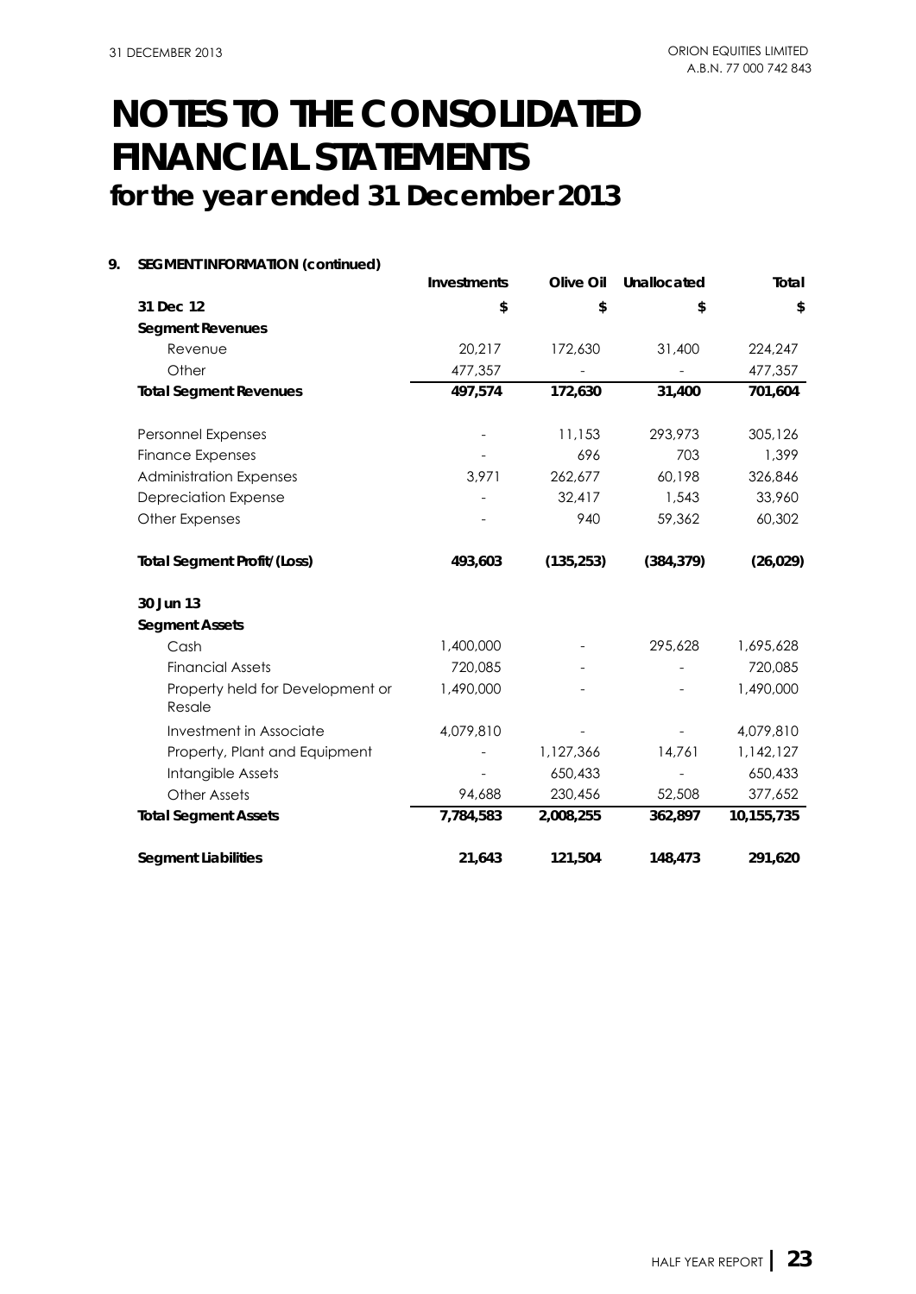#### **Investments Olive Oil Unallocated Total \$\$\$\$** 172,630 20,217 31,400 224,247 - 477,357 - 477,357  **172,630 497,574 31,400 701,604**  11,153 - 293,973 305,126 696 - 703 1,399 262,677 3,971 60,198 326,846 32,417 1.543 33,960 940 - 59,362 60,302  **(135,253) 493,603 (384,379) (26,029)**  - 1,400,000 295,628 1,695,628 - 720,085 - 720,085 1,490,000 - 1,490,000 - 4,079,810 - 4,079,810 1,127,366 - 14,761 1,142,127 650,433 - - 650,433 230,456 94,688 52,508 377,652  **2,008,255 7,784,583 362,897 10,155,735 121,504 21,643 148,473 291,620**  Administration Expenses Depreciation Expense Other Expenses **Total Segment Profit/(Loss) 30 Jun 13 Segment Assets** Cash Financial Assets Property held for Development or Resale Investment in Associate Property, Plant and Equipment Intangible Assets Other Assets **Total Segment Assets Segment Liabilities 31 Dec 12 Segment Revenues** Revenue **Other Total Segment Revenues** Personnel Expenses Finance Expenses

#### **9. SEGMENT INFORMATION (continued)**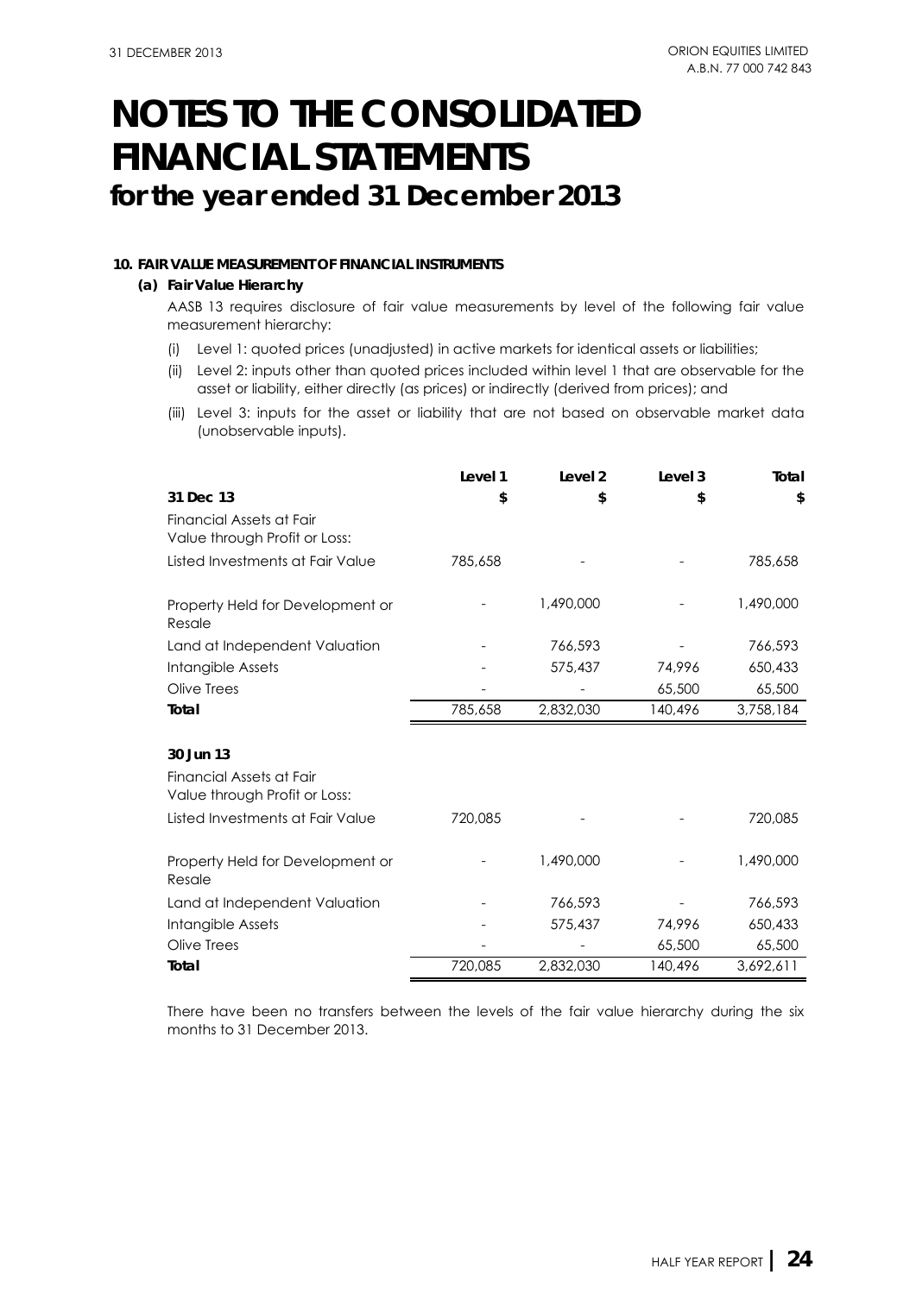### **10. FAIR VALUE MEASUREMENT OF FINANCIAL INSTRUMENTS**

#### **(a) Fair Value Hierarchy**

AASB 13 requires disclosure of fair value measurements by level of the following fair value measurement hierarchy:

- (i) Level 1: quoted prices (unadjusted) in active markets for identical assets or liabilities;
- (ii) Level 2: inputs other than quoted prices included within level 1 that are observable for the asset or liability, either directly (as prices) or indirectly (derived from prices); and
- (iii) Level 3: inputs for the asset or liability that are not based on observable market data (unobservable inputs).

|                                                           | Level 1 | Level <sub>2</sub> | Level 3 | Total     |
|-----------------------------------------------------------|---------|--------------------|---------|-----------|
| 31 Dec 13                                                 | \$      | \$                 | \$      | \$        |
| Financial Assets at Fair<br>Value through Profit or Loss: |         |                    |         |           |
| Listed Investments at Fair Value                          | 785,658 |                    |         | 785,658   |
| Property Held for Development or<br>Resale                |         | 1,490,000          |         | 1,490,000 |
| Land at Independent Valuation                             |         | 766,593            |         | 766,593   |
| Intangible Assets                                         |         | 575,437            | 74,996  | 650,433   |
| Olive Trees                                               |         |                    | 65,500  | 65,500    |
| Total                                                     | 785,658 | 2,832,030          | 140,496 | 3,758,184 |
|                                                           |         |                    |         |           |
| 30 Jun 13                                                 |         |                    |         |           |
| Financial Assets at Fair<br>Value through Profit or Loss: |         |                    |         |           |
| Listed Investments at Fair Value                          | 720.085 |                    |         | 720,085   |
| Property Held for Development or<br>Resale                |         | 1,490,000          |         | 1,490,000 |
| Land at Independent Valuation                             |         | 766,593            |         | 766,593   |
| Intangible Assets                                         |         | 575,437            | 74,996  | 650,433   |
| Olive Trees                                               |         |                    | 65,500  | 65,500    |
| Total                                                     | 720,085 | 2,832,030          | 140,496 | 3,692,611 |

There have been no transfers between the levels of the fair value hierarchy during the six months to 31 December 2013.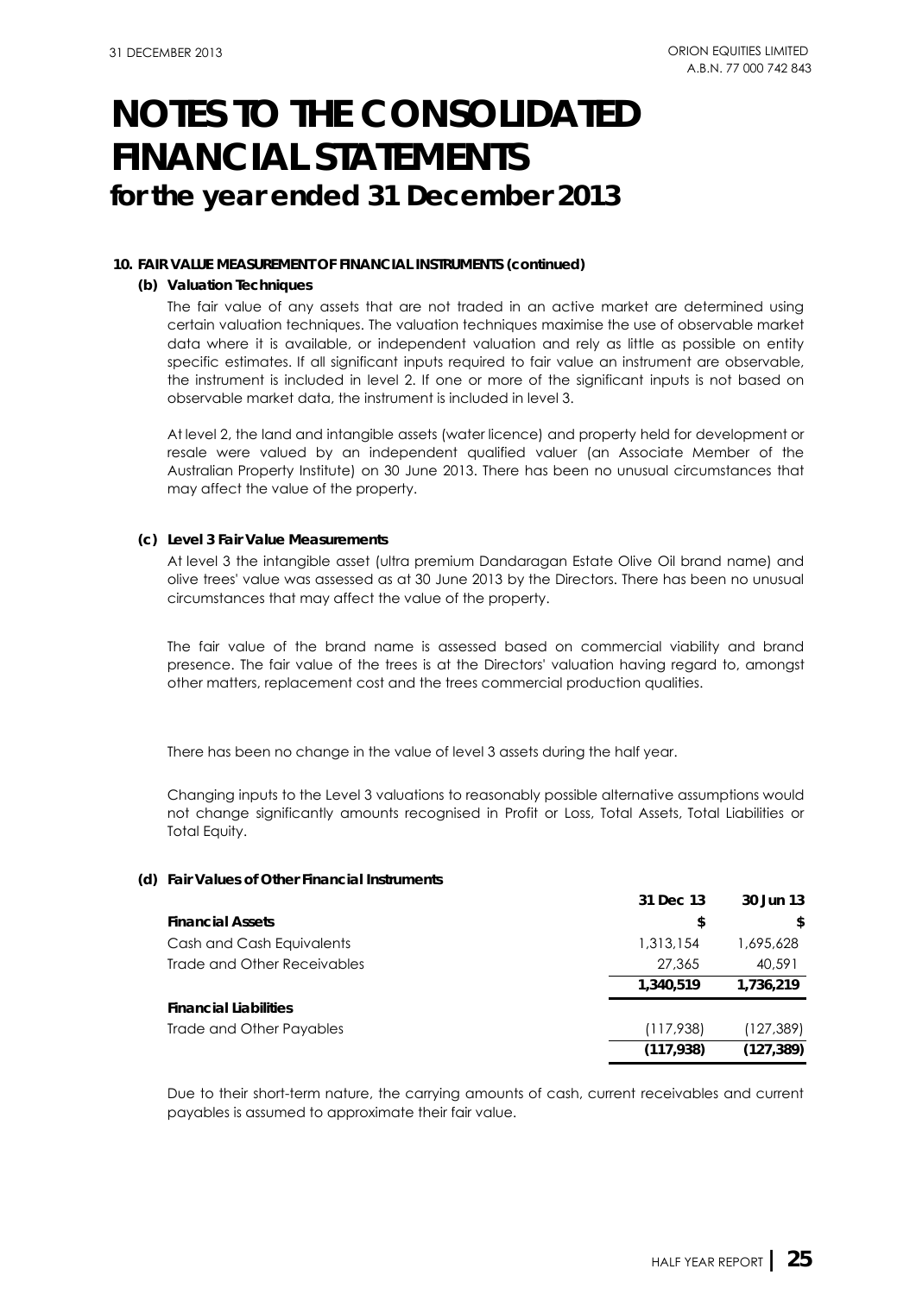### **10. FAIR VALUE MEASUREMENT OF FINANCIAL INSTRUMENTS (continued)**

#### **(b) Valuation Techniques**

The fair value of any assets that are not traded in an active market are determined using certain valuation techniques. The valuation techniques maximise the use of observable market data where it is available, or independent valuation and rely as little as possible on entity specific estimates. If all significant inputs required to fair value an instrument are observable, the instrument is included in level 2. If one or more of the significant inputs is not based on observable market data, the instrument is included in level 3.

At level 2, the land and intangible assets (water licence) and property held for development or resale were valued by an independent qualified valuer (an Associate Member of the Australian Property Institute) on 30 June 2013. There has been no unusual circumstances that may affect the value of the property.

#### **(c) Level 3 Fair Value Measurements**

At level 3 the intangible asset (ultra premium Dandaragan Estate Olive Oil brand name) and olive trees' value was assessed as at 30 June 2013 by the Directors. There has been no unusual circumstances that may affect the value of the property.

The fair value of the brand name is assessed based on commercial viability and brand presence. The fair value of the trees is at the Directors' valuation having regard to, amongst other matters, replacement cost and the trees commercial production qualities.

There has been no change in the value of level 3 assets during the half year.

Changing inputs to the Level 3 valuations to reasonably possible alternative assumptions would not change significantly amounts recognised in Profit or Loss, Total Assets, Total Liabilities or Total Equity.

#### **(d) Fair Values of Other Financial Instruments**

|                              | 31 Dec 13  | 30 Jun 13 |
|------------------------------|------------|-----------|
| <b>Financial Assets</b>      | \$         | \$        |
| Cash and Cash Equivalents    | 1,313,154  | 1,695,628 |
| Trade and Other Receivables  | 27,365     | 40,591    |
|                              | 1,340,519  | 1,736,219 |
| <b>Financial Liabilities</b> |            |           |
| Trade and Other Payables     | (117,938)  | (127,389) |
|                              | (117, 938) | (127,389) |

Due to their short-term nature, the carrying amounts of cash, current receivables and current payables is assumed to approximate their fair value.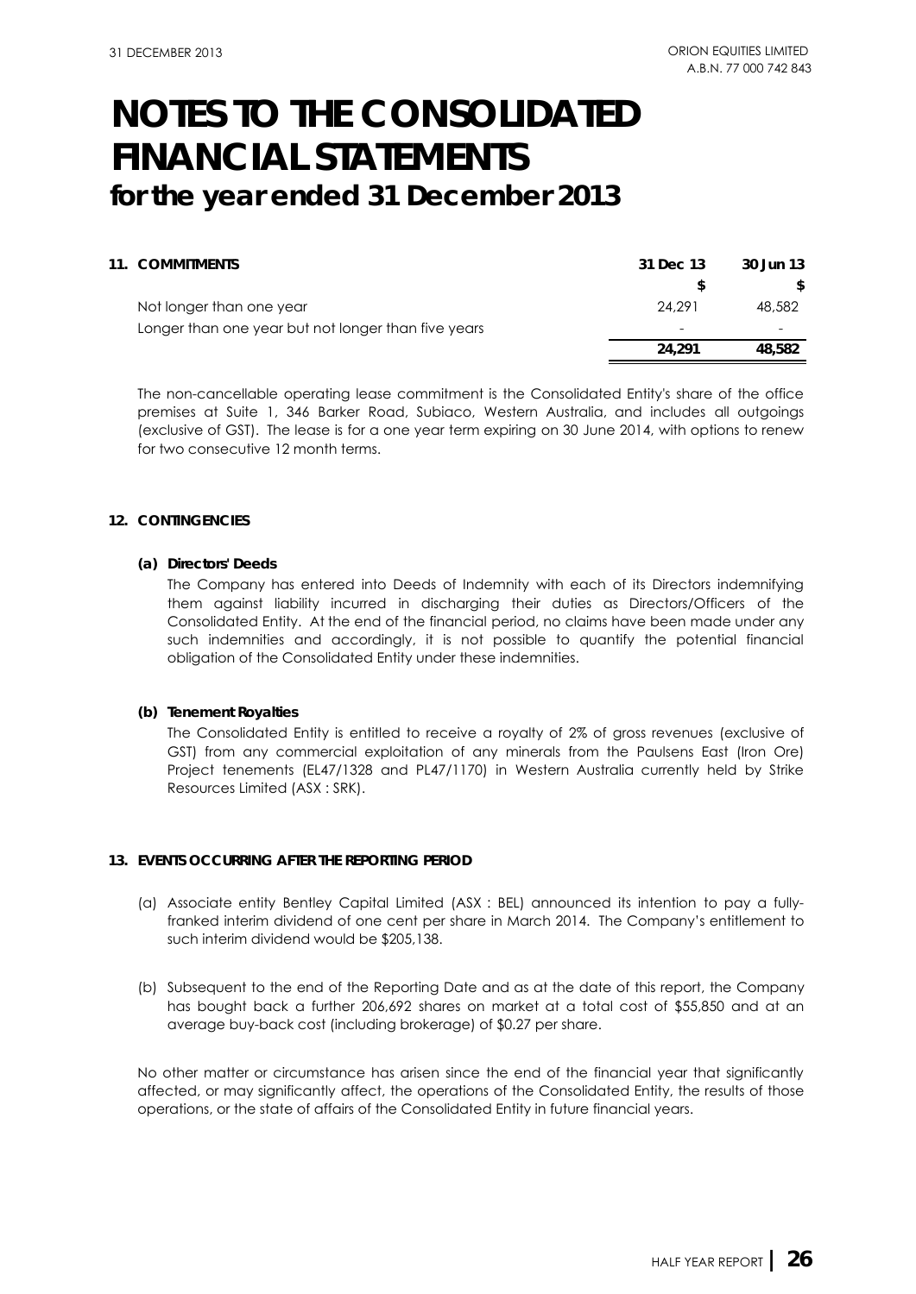| <b>11. COMMITMENTS</b>                              | 31 Dec 13 | 30 Jun 13                |
|-----------------------------------------------------|-----------|--------------------------|
|                                                     |           |                          |
| Not longer than one year                            | 24.291    | 48,582                   |
| Longer than one year but not longer than five years | -         | $\overline{\phantom{0}}$ |
|                                                     | 24,291    | 48,582                   |

The non-cancellable operating lease commitment is the Consolidated Entity's share of the office premises at Suite 1, 346 Barker Road, Subiaco, Western Australia, and includes all outgoings (exclusive of GST). The lease is for a one year term expiring on 30 June 2014, with options to renew for two consecutive 12 month terms.

### **12. CONTINGENCIES**

#### **(a) Directors' Deeds**

The Company has entered into Deeds of Indemnity with each of its Directors indemnifying them against liability incurred in discharging their duties as Directors/Officers of the Consolidated Entity. At the end of the financial period, no claims have been made under any such indemnities and accordingly, it is not possible to quantify the potential financial obligation of the Consolidated Entity under these indemnities.

#### **(b) Tenement Royalties**

The Consolidated Entity is entitled to receive a royalty of 2% of gross revenues (exclusive of GST) from any commercial exploitation of any minerals from the Paulsens East (Iron Ore) Project tenements (EL47/1328 and PL47/1170) in Western Australia currently held by Strike Resources Limited (ASX : SRK).

### **13. EVENTS OCCURRING AFTER THE REPORTING PERIOD**

- (a) Associate entity Bentley Capital Limited (ASX : BEL) announced its intention to pay a fullyfranked interim dividend of one cent per share in March 2014. The Company's entitlement to such interim dividend would be \$205,138.
- (b) Subsequent to the end of the Reporting Date and as at the date of this report, the Company has bought back a further 206,692 shares on market at a total cost of \$55,850 and at an average buy-back cost (including brokerage) of \$0.27 per share.

No other matter or circumstance has arisen since the end of the financial year that significantly affected, or may significantly affect, the operations of the Consolidated Entity, the results of those operations, or the state of affairs of the Consolidated Entity in future financial years.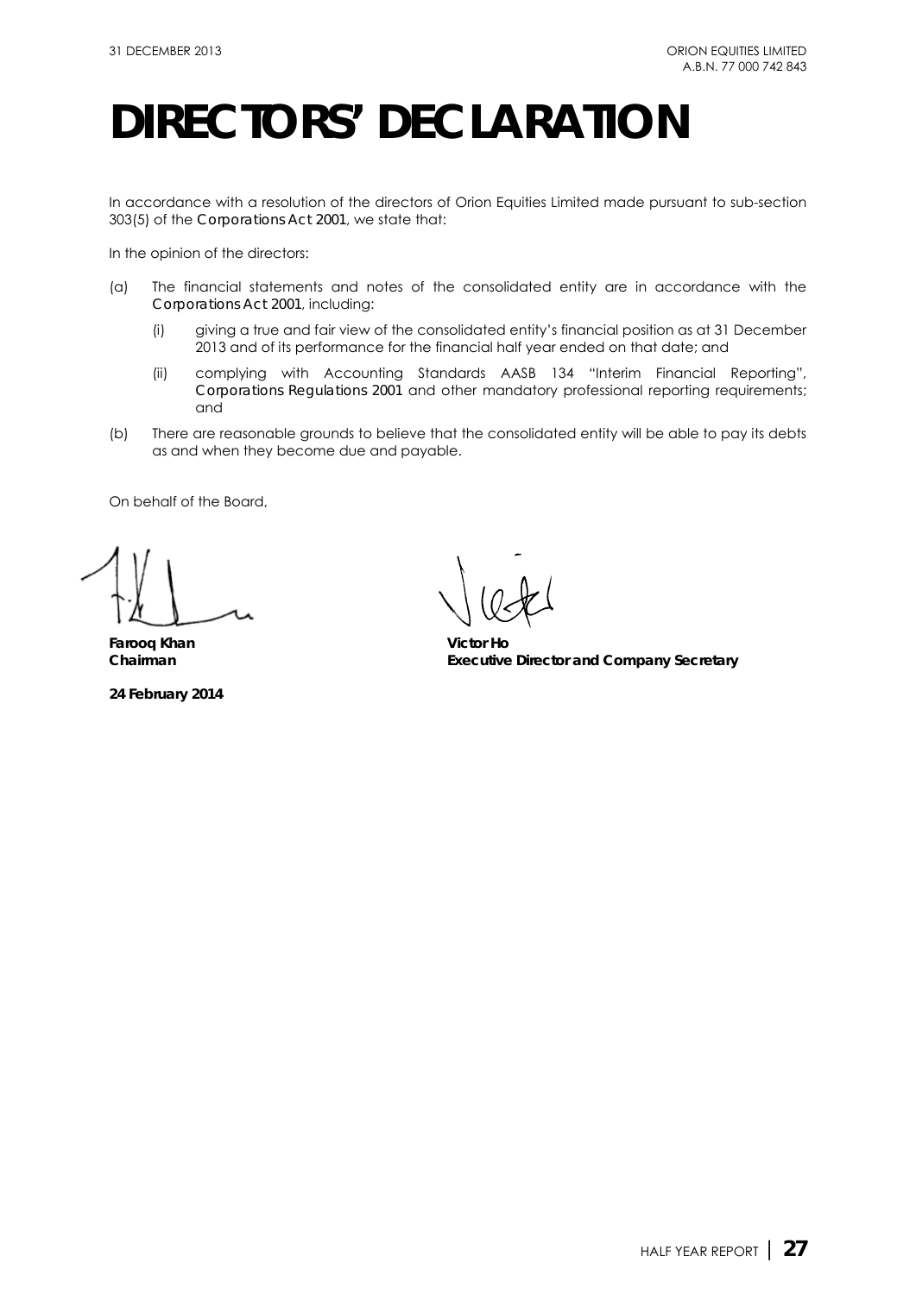## **DIRECTORS' DECLARATION**

In accordance with a resolution of the directors of Orion Equities Limited made pursuant to sub-section 303(5) of the *Corporations Act 2001*, we state that:

In the opinion of the directors:

- (a) The financial statements and notes of the consolidated entity are in accordance with the *Corporations Act 2001*, including:
	- (i) giving a true and fair view of the consolidated entity's financial position as at 31 December 2013 and of its performance for the financial half year ended on that date; and
	- (ii) complying with Accounting Standards AASB 134 "Interim Financial Reporting", *Corporations Regulations 2001* and other mandatory professional reporting requirements; and
- (b) There are reasonable grounds to believe that the consolidated entity will be able to pay its debts as and when they become due and payable.

On behalf of the Board,

**Farooq Khan Victor Ho**

**24 February 2014** 

**Chairman Executive Director and Company Secretary**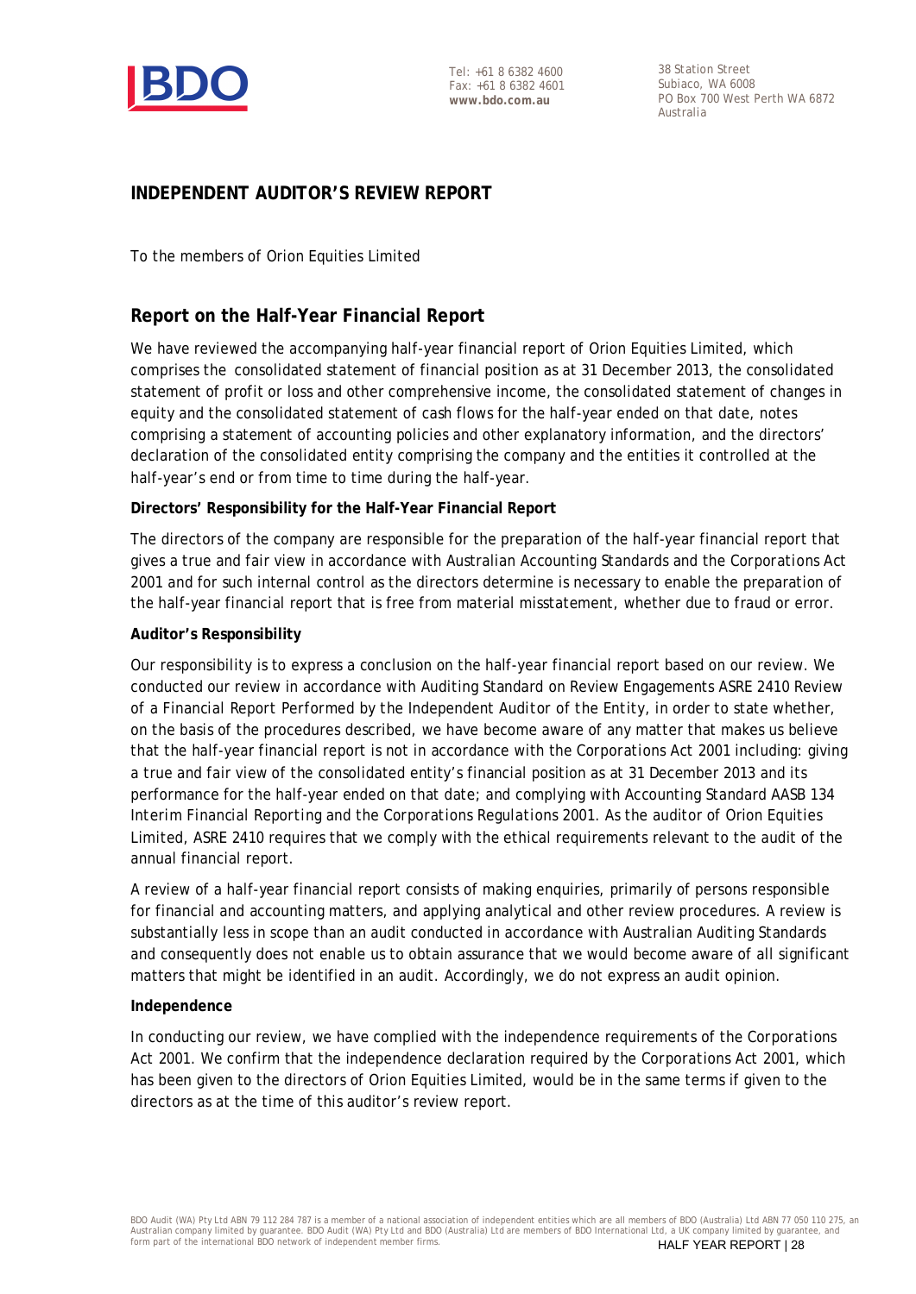

38 Station Street Subiaco, WA 6008 PO Box 700 West Perth WA 6872 Australia

### **INDEPENDENT AUDITOR'S REVIEW REPORT**

To the members of Orion Equities Limited

### **Report on the Half-Year Financial Report**

We have reviewed the accompanying half-year financial report of Orion Equities Limited, which comprises the consolidated statement of financial position as at 31 December 2013, the consolidated statement of profit or loss and other comprehensive income, the consolidated statement of changes in equity and the consolidated statement of cash flows for the half-year ended on that date, notes comprising a statement of accounting policies and other explanatory information, and the directors' declaration of the consolidated entity comprising the company and the entities it controlled at the half-year's end or from time to time during the half-year.

### **Directors' Responsibility for the Half-Year Financial Report**

The directors of the company are responsible for the preparation of the half-year financial report that gives a true and fair view in accordance with Australian Accounting Standards and the *Corporations Act 2001* and for such internal control as the directors determine is necessary to enable the preparation of the half-year financial report that is free from material misstatement, whether due to fraud or error.

### **Auditor's Responsibility**

Our responsibility is to express a conclusion on the half-year financial report based on our review. We conducted our review in accordance with Auditing Standard on Review Engagements ASRE 2410 *Review of a Financial Report Performed by the Independent Auditor of the Entity*, in order to state whether, on the basis of the procedures described, we have become aware of any matter that makes us believe that the half-year financial report is not in accordance with the *Corporations Act 2001* including: giving a true and fair view of the consolidated entity's financial position as at 31 December 2013 and its performance for the half-year ended on that date; and complying with Accounting Standard AASB 134 *Interim Financial Reporting* and the *Corporations Regulations 2001*. As the auditor of Orion Equities Limited, ASRE 2410 requires that we comply with the ethical requirements relevant to the audit of the annual financial report.

A review of a half-year financial report consists of making enquiries, primarily of persons responsible for financial and accounting matters, and applying analytical and other review procedures. A review is substantially less in scope than an audit conducted in accordance with Australian Auditing Standards and consequently does not enable us to obtain assurance that we would become aware of all significant matters that might be identified in an audit. Accordingly, we do not express an audit opinion.

### **Independence**

In conducting our review, we have complied with the independence requirements of the *Corporations Act 2001*. We confirm that the independence declaration required by the *Corporations Act 2001,* which has been given to the directors of Orion Equities Limited, would be in the same terms if given to the directors as at the time of this auditor's review report.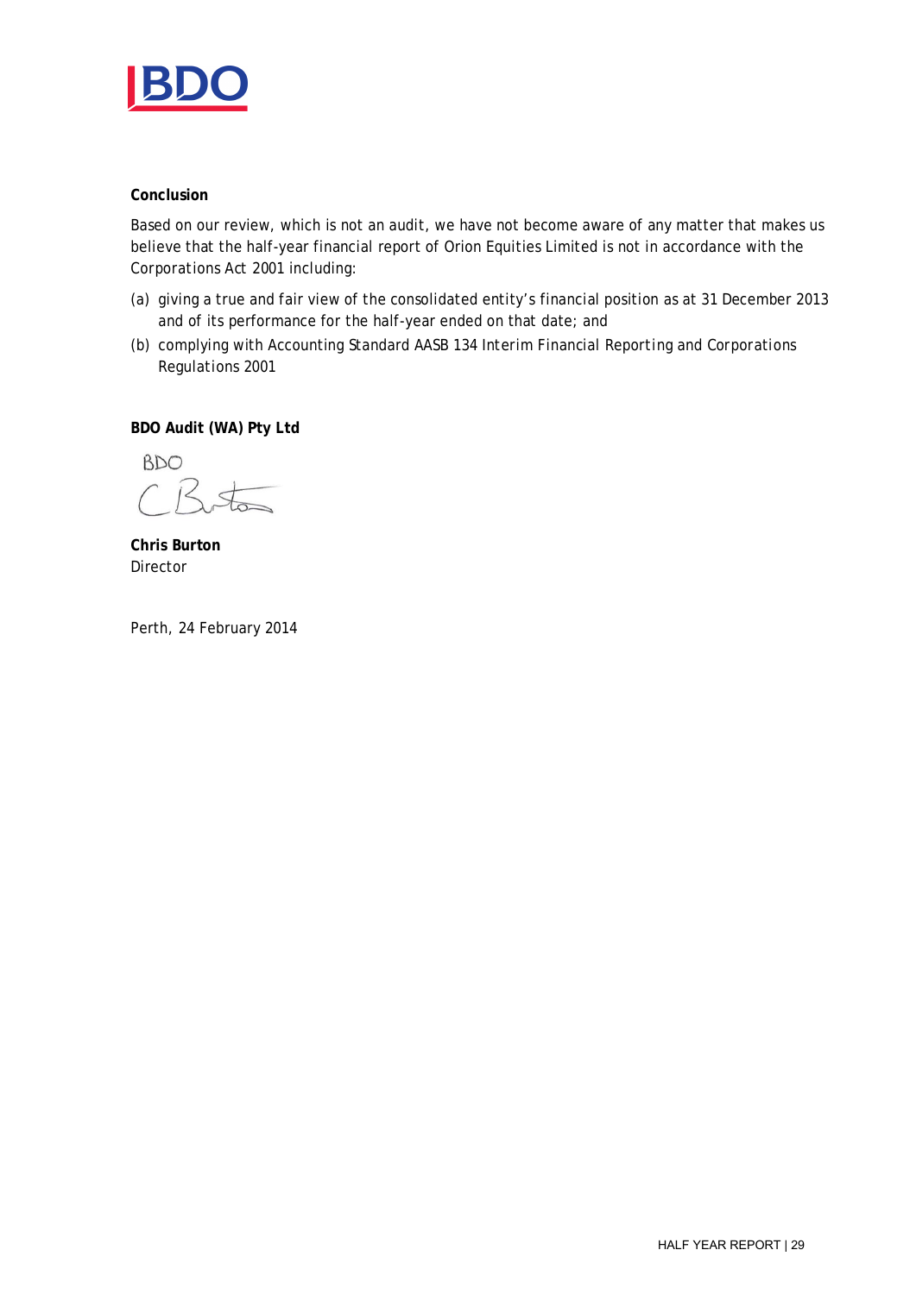

### **Conclusion**

Based on our review, which is not an audit, we have not become aware of any matter that makes us believe that the half-year financial report of Orion Equities Limited is not in accordance with the *Corporations Act 2001* including:

- (a) giving a true and fair view of the consolidated entity's financial position as at 31 December 2013 and of its performance for the half-year ended on that date; and
- (b) complying with Accounting Standard AASB 134 *Interim Financial Reporting* and *Corporations Regulations 2001*

**BDO Audit (WA) Pty Ltd**

**BDO** to

**Chris Burton** Director

Perth, 24 February 2014